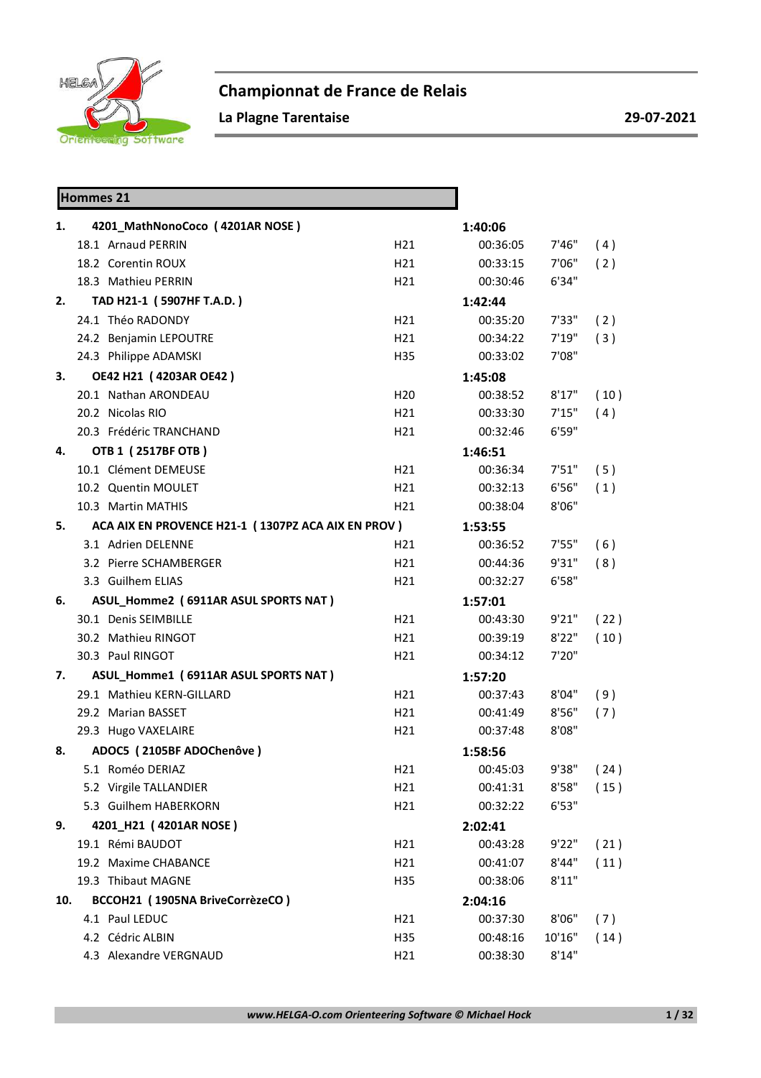

# **Championnat de France de Relais**

#### **La Plagne Tarentaise 29-07-2021**

|     | <b>Hommes 21</b> |                                                    |                 |          |        |      |
|-----|------------------|----------------------------------------------------|-----------------|----------|--------|------|
| 1.  |                  | 4201_MathNonoCoco (4201AR NOSE)                    |                 | 1:40:06  |        |      |
|     |                  | 18.1 Arnaud PERRIN                                 | H <sub>21</sub> | 00:36:05 | 7'46"  | (4)  |
|     |                  | 18.2 Corentin ROUX                                 | H <sub>21</sub> | 00:33:15 | 7'06"  | (2)  |
|     |                  | 18.3 Mathieu PERRIN                                | H <sub>21</sub> | 00:30:46 | 6'34"  |      |
| 2.  |                  | TAD H21-1 (5907HF T.A.D.)                          |                 | 1:42:44  |        |      |
|     |                  | 24.1 Théo RADONDY                                  | H <sub>21</sub> | 00:35:20 | 7'33"  | (2)  |
|     |                  | 24.2 Benjamin LEPOUTRE                             | H <sub>21</sub> | 00:34:22 | 7'19"  | (3)  |
|     |                  | 24.3 Philippe ADAMSKI                              | H35             | 00:33:02 | 7'08"  |      |
| З.  |                  | <b>OE42 H21 (4203AR OE42)</b>                      |                 | 1:45:08  |        |      |
|     |                  | 20.1 Nathan ARONDEAU                               | H <sub>20</sub> | 00:38:52 | 8'17"  | (10) |
|     |                  | 20.2 Nicolas RIO                                   | H <sub>21</sub> | 00:33:30 | 7'15"  | (4)  |
|     |                  | 20.3 Frédéric TRANCHAND                            | H <sub>21</sub> | 00:32:46 | 6'59"  |      |
| 4.  |                  | OTB 1 (2517BF OTB)                                 |                 | 1:46:51  |        |      |
|     |                  | 10.1 Clément DEMEUSE                               | H <sub>21</sub> | 00:36:34 | 7'51"  | (5)  |
|     |                  | 10.2 Quentin MOULET                                | H <sub>21</sub> | 00:32:13 | 6'56"  | (1)  |
|     |                  | 10.3 Martin MATHIS                                 | H <sub>21</sub> | 00:38:04 | 8'06"  |      |
| 5.  |                  | ACA AIX EN PROVENCE H21-1 (1307PZ ACA AIX EN PROV) |                 | 1:53:55  |        |      |
|     |                  | 3.1 Adrien DELENNE                                 | H <sub>21</sub> | 00:36:52 | 7'55"  | (6)  |
|     |                  | 3.2 Pierre SCHAMBERGER                             | H <sub>21</sub> | 00:44:36 | 9'31"  | (8)  |
|     |                  | 3.3 Guilhem ELIAS                                  | H21             | 00:32:27 | 6'58"  |      |
| 6.  |                  | ASUL_Homme2 (6911AR ASUL SPORTS NAT)               |                 | 1:57:01  |        |      |
|     |                  | 30.1 Denis SEIMBILLE                               | H21             | 00:43:30 | 9'21"  | (22) |
|     |                  | 30.2 Mathieu RINGOT                                | H <sub>21</sub> | 00:39:19 | 8'22"  | (10) |
|     |                  | 30.3 Paul RINGOT                                   | H21             | 00:34:12 | 7'20"  |      |
| 7.  |                  | ASUL_Homme1 (6911AR ASUL SPORTS NAT)               |                 | 1:57:20  |        |      |
|     |                  | 29.1 Mathieu KERN-GILLARD                          | H21             | 00:37:43 | 8'04"  | (9)  |
|     |                  | 29.2 Marian BASSET                                 | H <sub>21</sub> | 00:41:49 | 8'56"  | (7)  |
|     |                  | 29.3 Hugo VAXELAIRE                                | H <sub>21</sub> | 00:37:48 | 8'08"  |      |
| 8.  |                  | ADOC5 (2105BF ADOChenôve)                          |                 | 1:58:56  |        |      |
|     |                  | 5.1 Roméo DERIAZ                                   | H <sub>21</sub> | 00:45:03 | 9'38"  | (24) |
|     |                  | 5.2 Virgile TALLANDIER                             | H21             | 00:41:31 | 8'58"  | (15) |
|     |                  | 5.3 Guilhem HABERKORN                              | H21             | 00:32:22 | 6'53"  |      |
| 9.  |                  | 4201_H21 (4201AR NOSE)                             |                 | 2:02:41  |        |      |
|     |                  | 19.1 Rémi BAUDOT                                   | H21             | 00:43:28 | 9'22"  | (21) |
|     |                  | 19.2 Maxime CHABANCE                               | H21             | 00:41:07 | 8'44"  | (11) |
|     |                  | 19.3 Thibaut MAGNE                                 | H35             | 00:38:06 | 8'11"  |      |
| 10. |                  | BCCOH21 (1905NA BriveCorrèzeCO)                    |                 | 2:04:16  |        |      |
|     |                  | 4.1 Paul LEDUC                                     | H <sub>21</sub> | 00:37:30 | 8'06"  | (7)  |
|     |                  | 4.2 Cédric ALBIN                                   | H35             | 00:48:16 | 10'16" | (14) |
|     |                  | 4.3 Alexandre VERGNAUD                             | H21             | 00:38:30 | 8'14"  |      |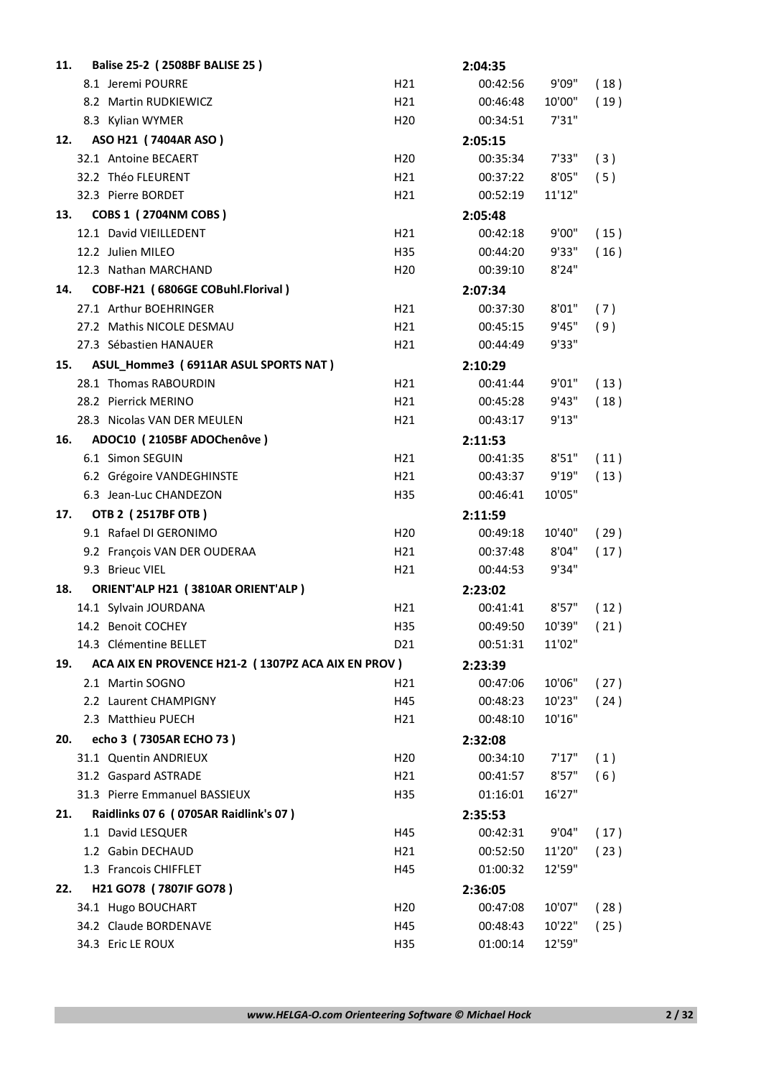| 11. | Balise 25-2 (2508BF BALISE 25)                     |                 | 2:04:35  |        |      |
|-----|----------------------------------------------------|-----------------|----------|--------|------|
|     | 8.1 Jeremi POURRE                                  | H21             | 00:42:56 | 9'09"  | (18) |
|     | 8.2 Martin RUDKIEWICZ                              | H <sub>21</sub> | 00:46:48 | 10'00" | (19) |
|     | 8.3 Kylian WYMER                                   | H <sub>20</sub> | 00:34:51 | 7'31"  |      |
| 12. | ASO H21 (7404AR ASO)                               |                 | 2:05:15  |        |      |
|     | 32.1 Antoine BECAERT                               | H <sub>20</sub> | 00:35:34 | 7'33"  | (3)  |
|     | 32.2 Théo FLEURENT                                 | H21             | 00:37:22 | 8'05"  | (5)  |
|     | 32.3 Pierre BORDET                                 | H <sub>21</sub> | 00:52:19 | 11'12" |      |
| 13. | COBS 1 (2704NM COBS)                               |                 | 2:05:48  |        |      |
|     | 12.1 David VIEILLEDENT                             | H21             | 00:42:18 | 9'00"  | (15) |
|     | 12.2 Julien MILEO                                  | H35             | 00:44:20 | 9'33"  | (16) |
|     | 12.3 Nathan MARCHAND                               | H <sub>20</sub> | 00:39:10 | 8'24"  |      |
| 14. | COBF-H21 (6806GE COBuhl.Florival)                  |                 | 2:07:34  |        |      |
|     | 27.1 Arthur BOEHRINGER                             | H <sub>21</sub> | 00:37:30 | 8'01"  | (7)  |
|     | 27.2 Mathis NICOLE DESMAU                          | H21             | 00:45:15 | 9'45"  | (9)  |
|     | 27.3 Sébastien HANAUER                             | H <sub>21</sub> | 00:44:49 | 9'33"  |      |
| 15. | ASUL_Homme3 (6911AR ASUL SPORTS NAT)               |                 | 2:10:29  |        |      |
|     | 28.1 Thomas RABOURDIN                              | H21             | 00:41:44 | 9'01"  | (13) |
|     | 28.2 Pierrick MERINO                               | H21             | 00:45:28 | 9'43"  | (18) |
|     | 28.3 Nicolas VAN DER MEULEN                        | H <sub>21</sub> | 00:43:17 | 9'13"  |      |
| 16. | ADOC10 (2105BF ADOChenôve)                         |                 | 2:11:53  |        |      |
|     | 6.1 Simon SEGUIN                                   | H <sub>21</sub> | 00:41:35 | 8'51"  | (11) |
|     | 6.2 Grégoire VANDEGHINSTE                          | H21             | 00:43:37 | 9'19"  | (13) |
|     | 6.3 Jean-Luc CHANDEZON                             | H35             | 00:46:41 | 10'05" |      |
| 17. | OTB 2 (2517BF OTB)                                 |                 | 2:11:59  |        |      |
|     | 9.1 Rafael DI GERONIMO                             | H <sub>20</sub> | 00:49:18 | 10'40" | (29) |
|     | 9.2 François VAN DER OUDERAA                       | H21             | 00:37:48 | 8'04"  | (17) |
|     | 9.3 Brieuc VIEL                                    | H <sub>21</sub> | 00:44:53 | 9'34"  |      |
| 18. | ORIENT'ALP H21 (3810AR ORIENT'ALP)                 |                 | 2:23:02  |        |      |
|     | 14.1 Sylvain JOURDANA                              | H <sub>21</sub> | 00:41:41 | 8'57"  | (12) |
|     | 14.2 Benoit COCHEY                                 | H35             | 00:49:50 | 10'39" | (21) |
|     | 14.3 Clémentine BELLET                             | D21             | 00:51:31 | 11'02" |      |
| 19. | ACA AIX EN PROVENCE H21-2 (1307PZ ACA AIX EN PROV) |                 | 2:23:39  |        |      |
|     | 2.1 Martin SOGNO                                   | H21             | 00:47:06 | 10'06" | (27) |
|     | 2.2 Laurent CHAMPIGNY                              | H45             | 00:48:23 | 10'23" | (24) |
|     | 2.3 Matthieu PUECH                                 | H21             | 00:48:10 | 10'16" |      |
| 20. | echo 3 (7305AR ECHO 73)                            |                 | 2:32:08  |        |      |
|     | 31.1 Quentin ANDRIEUX                              | H <sub>20</sub> | 00:34:10 | 7'17"  | (1)  |
|     | 31.2 Gaspard ASTRADE                               | H21             | 00:41:57 | 8'57"  | (6)  |
|     | 31.3 Pierre Emmanuel BASSIEUX                      | H35             | 01:16:01 | 16'27" |      |
| 21. | Raidlinks 07 6 (0705AR Raidlink's 07)              |                 | 2:35:53  |        |      |
|     | 1.1 David LESQUER                                  | H45             | 00:42:31 | 9'04"  | (17) |
|     | 1.2 Gabin DECHAUD                                  | H21             | 00:52:50 | 11'20" | (23) |
|     | 1.3 Francois CHIFFLET                              | H45             | 01:00:32 | 12'59" |      |
| 22. | H21 GO78 (7807IF GO78)                             |                 | 2:36:05  |        |      |
|     | 34.1 Hugo BOUCHART                                 | H <sub>20</sub> | 00:47:08 | 10'07" | (28) |
|     | 34.2 Claude BORDENAVE                              | H45             | 00:48:43 | 10'22" | (25) |
|     | 34.3 Eric LE ROUX                                  | H35             | 01:00:14 | 12'59" |      |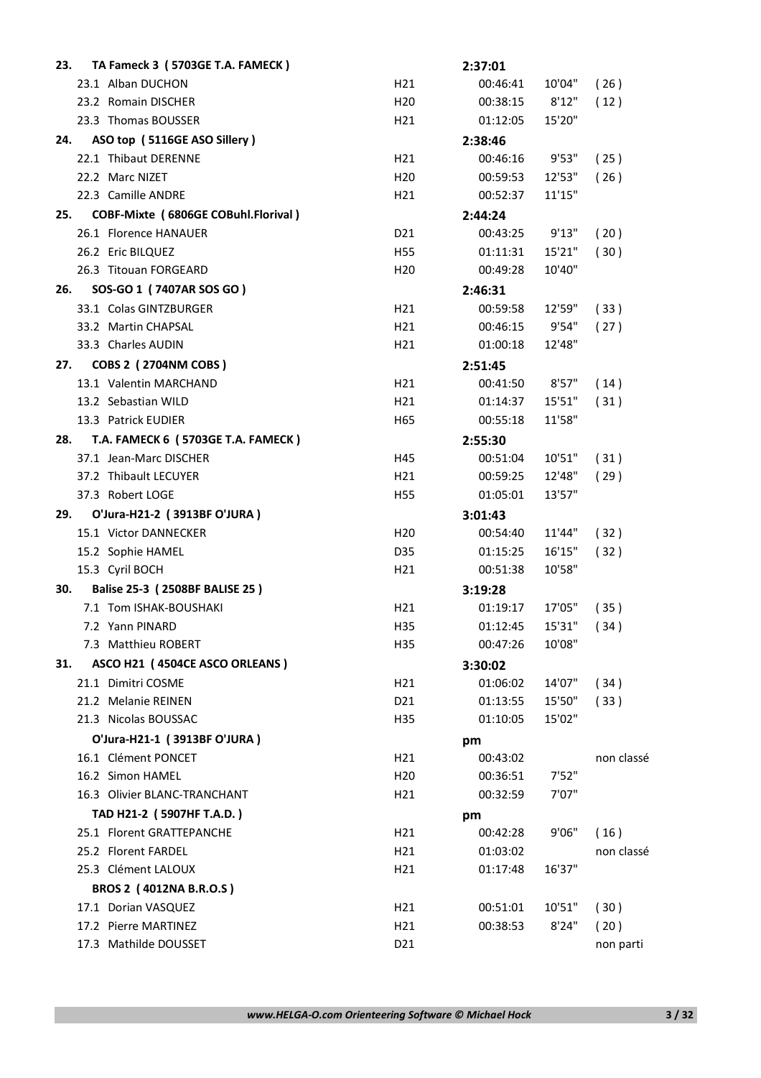| 23. | TA Fameck 3 (5703GE T.A. FAMECK)        |                 | 2:37:01        |        |            |
|-----|-----------------------------------------|-----------------|----------------|--------|------------|
|     | 23.1 Alban DUCHON                       | H21             | 00:46:41       | 10'04" | (26)       |
|     | 23.2 Romain DISCHER                     | H <sub>20</sub> | 00:38:15 8'12" |        | (12)       |
|     | 23.3 Thomas BOUSSER                     | H21             | 01:12:05       | 15'20" |            |
|     | 24. ASO top (5116GE ASO Sillery)        |                 | 2:38:46        |        |            |
|     | 22.1 Thibaut DERENNE                    | H21             | 00:46:16       | 9'53"  | (25)       |
|     | 22.2 Marc NIZET                         | H <sub>20</sub> | 00:59:53       | 12'53" | (26)       |
|     | 22.3 Camille ANDRE                      | H21             | 00:52:37       | 11'15" |            |
|     | 25. COBF-Mixte (6806GE COBuhl.Florival) |                 | 2:44:24        |        |            |
|     | 26.1 Florence HANAUER                   | D <sub>21</sub> | 00:43:25       | 9'13"  | (20)       |
|     | 26.2 Eric BILQUEZ                       | H55             | 01:11:31       | 15'21" | (30)       |
|     | 26.3 Titouan FORGEARD                   | H <sub>20</sub> | 00:49:28       | 10'40" |            |
| 26. | SOS-GO 1 (7407AR SOS GO)                |                 | 2:46:31        |        |            |
|     | 33.1 Colas GINTZBURGER                  | H21             | 00:59:58       | 12'59" | (33)       |
|     | 33.2 Martin CHAPSAL                     | H21             | 00:46:15 9'54" |        | (27)       |
|     | 33.3 Charles AUDIN                      | H21             | 01:00:18       | 12'48" |            |
| 27. | <b>COBS 2 (2704NM COBS)</b>             |                 | 2:51:45        |        |            |
|     | 13.1 Valentin MARCHAND                  | H21             | 00:41:50       | 8'57"  | (14)       |
|     | 13.2 Sebastian WILD                     | H21             | 01:14:37       | 15'51" | (31)       |
|     | 13.3 Patrick EUDIER                     | H65             | 00:55:18       | 11'58" |            |
| 28. | T.A. FAMECK 6 (5703GE T.A. FAMECK)      |                 | 2:55:30        |        |            |
|     | 37.1 Jean-Marc DISCHER                  | H45             | 00:51:04       | 10'51" | (31)       |
|     | 37.2 Thibault LECUYER                   | H21             | 00:59:25       | 12'48" | (29)       |
|     | 37.3 Robert LOGE                        | H55             | 01:05:01       | 13'57" |            |
| 29. | O'Jura-H21-2 (3913BF O'JURA)            |                 | 3:01:43        |        |            |
|     | 15.1 Victor DANNECKER                   | H <sub>20</sub> | 00:54:40       | 11'44" | (32)       |
|     | 15.2 Sophie HAMEL                       | D35             | 01:15:25       | 16'15" | (32)       |
|     | 15.3 Cyril BOCH                         | H21             | 00:51:38       | 10'58" |            |
| 30. | Balise 25-3 (2508BF BALISE 25)          |                 | 3:19:28        |        |            |
|     | 7.1 Tom ISHAK-BOUSHAKI                  | H21             | 01:19:17       | 17'05" | (35)       |
|     | 7.2 Yann PINARD                         | H35             | 01:12:45       | 15'31" | (34)       |
|     | 7.3 Matthieu ROBERT                     | H35             | 00:47:26       | 10'08" |            |
| 31. | ASCO H21 (4504CE ASCO ORLEANS)          |                 | 3:30:02        |        |            |
|     | 21.1 Dimitri COSME                      | H21             | 01:06:02       | 14'07" | (34)       |
|     | 21.2 Melanie REINEN                     | D21             | 01:13:55       | 15'50" | (33)       |
|     | 21.3 Nicolas BOUSSAC                    | H35             | 01:10:05       | 15'02" |            |
|     | O'Jura-H21-1 (3913BF O'JURA)            |                 |                |        |            |
|     | 16.1 Clément PONCET                     | H21             | pm<br>00:43:02 |        | non classé |
|     | 16.2 Simon HAMEL                        | H <sub>20</sub> | 00:36:51       | 7'52"  |            |
|     | 16.3 Olivier BLANC-TRANCHANT            | H21             | 00:32:59       | 7'07"  |            |
|     |                                         |                 |                |        |            |
|     | TAD H21-2 (5907HF T.A.D.)               |                 | pm             |        |            |
|     | 25.1 Florent GRATTEPANCHE               | H21             | 00:42:28       | 9'06"  | (16)       |
|     | 25.2 Florent FARDEL                     | H21             | 01:03:02       |        | non classé |
|     | 25.3 Clément LALOUX                     | H21             | 01:17:48       | 16'37" |            |
|     | BROS 2 (4012NA B.R.O.S)                 |                 |                |        |            |
|     | 17.1 Dorian VASQUEZ                     | H21             | 00:51:01       | 10'51" | (30)       |
|     | 17.2 Pierre MARTINEZ                    | H21             | 00:38:53       | 8'24"  | (20)       |
|     | 17.3 Mathilde DOUSSET                   | D21             |                |        | non parti  |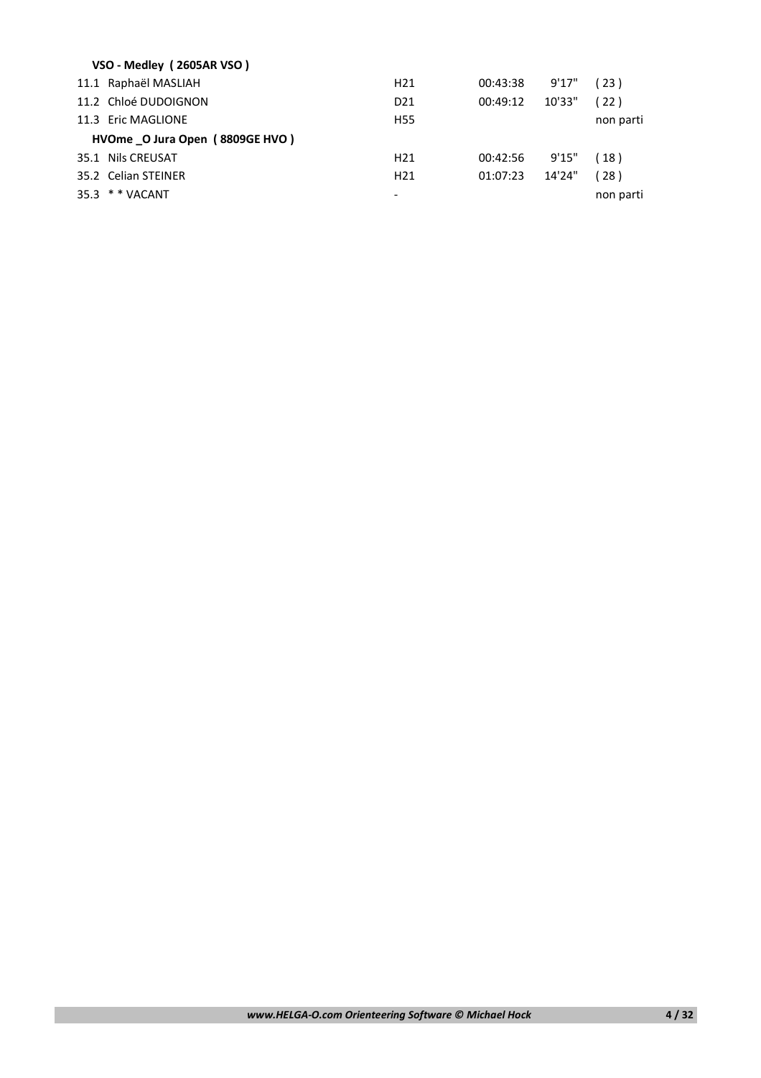| H <sub>21</sub>                                                                                                                                                                                    | 00:43:38 | 9'17"  | (23)      |
|----------------------------------------------------------------------------------------------------------------------------------------------------------------------------------------------------|----------|--------|-----------|
| D <sub>21</sub>                                                                                                                                                                                    | 00:49:12 | 10'33" | (22)      |
| H55                                                                                                                                                                                                |          |        | non parti |
|                                                                                                                                                                                                    |          |        |           |
| H <sub>21</sub>                                                                                                                                                                                    | 00:42:56 | 9'15"  | (18)      |
| H <sub>21</sub>                                                                                                                                                                                    | 01:07:23 | 14'24" | (28)      |
| -                                                                                                                                                                                                  |          |        | non parti |
| VSO - Medley (2605AR VSO)<br>11.1 Raphaël MASLIAH<br>11.2 Chloé DUDOIGNON<br>11.3 Eric MAGLIONE<br>HVOme O Jura Open (8809GE HVO)<br>35.1 Nils CREUSAT<br>35.2 Celian STEINER<br>$35.3$ * * VACANT |          |        |           |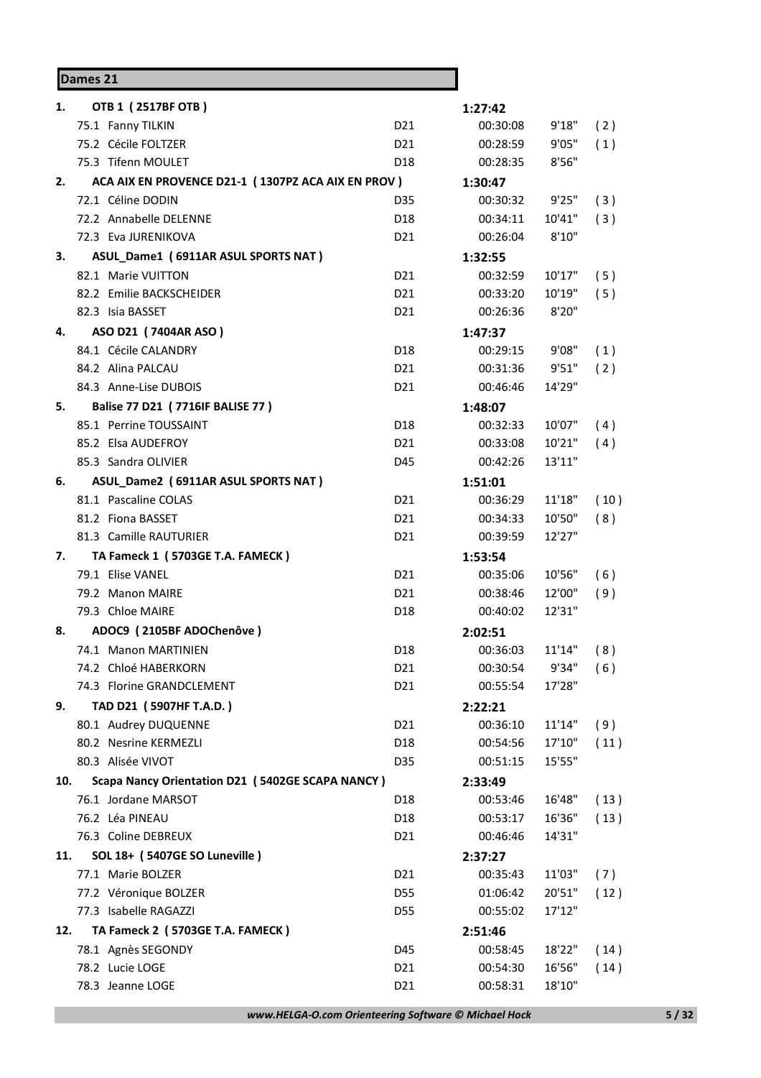#### **Dames 21 1. OTB 1 ( 2517BF OTB ) 1:27:42** 75.1 Fanny TILKIN D21 00:30:08 9'18" ( 2 ) 75.2 Cécile FOLTZER D21 00:28:59 9'05" ( 1 ) 75.3 Tifenn MOULET D18 00:28:35 8'56" **2. ACA AIX EN PROVENCE D21-1 ( 1307PZ ACA AIX EN PROV ) 1:30:47** 72.1 Céline DODIN D35 00:30:32 9'25" ( 3 ) 72.2 Annabelle DELENNE D18 00:34:11 10'41" ( 3 ) 72.3 Eva JURENIKOVA D21 00:26:04 8'10" **3. ASUL\_Dame1 ( 6911AR ASUL SPORTS NAT ) 1:32:55** 82.1 Marie VUITTON D21 00:32:59 10'17" ( 5 ) 82.2 Emilie BACKSCHEIDER D21 00:33:20 10'19" ( 5 ) 82.3 Isia BASSET D21 00:26:36 8'20" **4. ASO D21 ( 7404AR ASO ) 1:47:37** 84.1 Cécile CALANDRY **D18** 00:29:15 9'08" (1) 84.2 Alina PALCAU D21 00:31:36 9'51" ( 2 ) 84.3 Anne-Lise DUBOIS D21 00:46:46 14'29" **5. Balise 77 D21 ( 7716IF BALISE 77 ) 1:48:07** 85.1 Perrine TOUSSAINT **D18** 00:32:33 10'07" (4) 85.2 Elsa AUDEFROY D21 00:33:08 10'21" ( 4 ) 85.3 Sandra OLIVIER D45 00:42:26 13'11" **6. ASUL\_Dame2 ( 6911AR ASUL SPORTS NAT ) 1:51:01** 81.1 Pascaline COLAS D21 00:36:29 11'18" ( 10 ) 81.2 Fiona BASSET **D21** 00:34:33 10'50" (8) 81.3 Camille RAUTURIER D21 00:39:59 12'27" **7. TA Fameck 1 ( 5703GE T.A. FAMECK ) 1:53:54** 79.1 Elise VANEL D21 00:35:06 10'56" ( 6 ) 79.2 Manon MAIRE D21 00:38:46 12'00" ( 9 ) 79.3 Chloe MAIRE D18 00:40:02 12'31" **8. ADOC9 ( 2105BF ADOChenôve ) 2:02:51** 74.1 Manon MARTINIEN D18 00:36:03 11'14" ( 8 ) 74.2 Chloé HABERKORN D21 00:30:54 9'34" ( 6 ) 74.3 Florine GRANDCLEMENT **D21** 00:55:54 17'28" **9. TAD D21 ( 5907HF T.A.D. ) 2:22:21** 80.1 Audrey DUQUENNE 20.1 21 21 221 00:36:10 21 21 31 4" (9) 80.2 Nesrine KERMEZLI 20.2 Nesrine KERMEZLI 20.2 Nesrine KERMEZLI 80.3 Alisée VIVOT **D35** 00:51:15 15'55" **10. Scapa Nancy Orientation D21 ( 5402GE SCAPA NANCY ) 2:33:49** 76.1 Jordane MARSOT D18 00:53:46 16'48" ( 13 ) 76.2 Léa PINEAU D18 00:53:17 16'36" ( 13 ) 76.3 Coline DEBREUX D21 00:46:46 14'31" **11. SOL 18+ ( 5407GE SO Luneville ) 2:37:27** 77.1 Marie BOLZER D21 00:35:43 11'03" ( 7 ) 77.2 Véronique BOLZER **D55** 01:06:42 20'51" ( 12 ) 77.3 Isabelle RAGAZZI D55 00:55:02 17'12" **12. TA Fameck 2 ( 5703GE T.A. FAMECK ) 2:51:46**

78.1 Agnès SEGONDY D45 00:58:45 18'22" ( 14 ) 78.2 Lucie LOGE 201 21 00:54:30 16'56" (14)

78.3 Jeanne LOGE D21 00:58:31 18'10"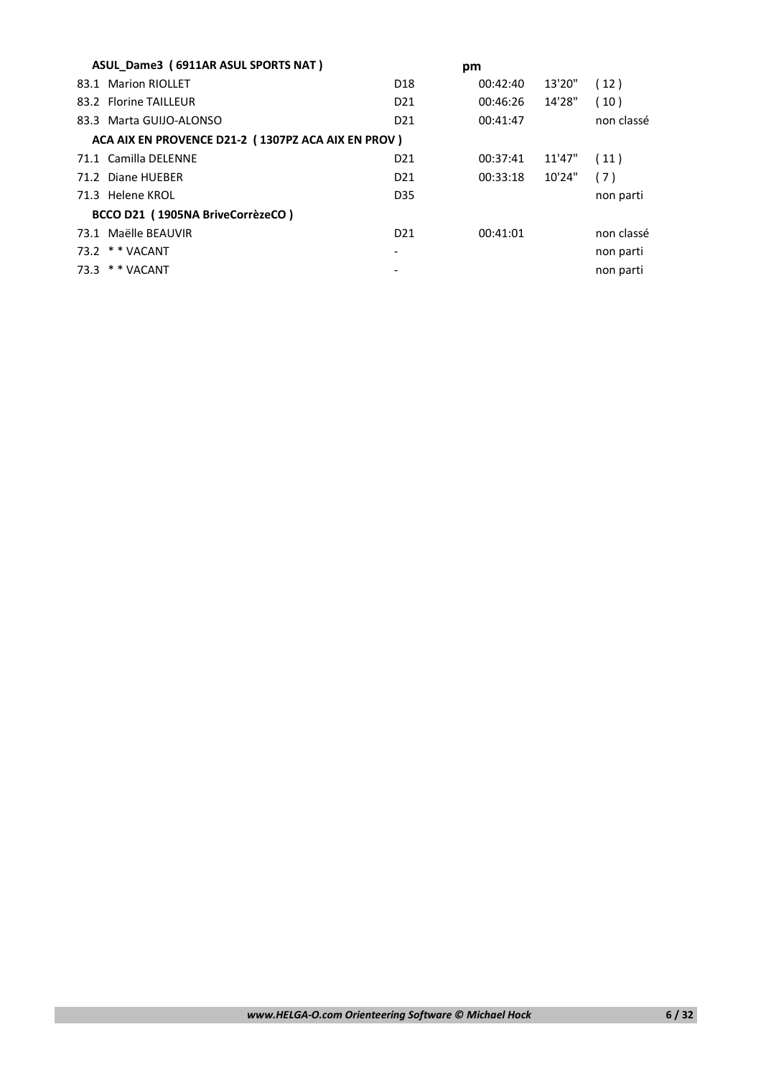| ASUL_Dame3 (6911AR ASUL SPORTS NAT)                |                 | pm       |        |            |
|----------------------------------------------------|-----------------|----------|--------|------------|
| 83.1 Marion RIOLLET                                | D <sub>18</sub> | 00:42:40 | 13'20" | (12)       |
| 83.2 Florine TAILLEUR                              | D <sub>21</sub> | 00:46:26 | 14'28" | (10)       |
| 83.3 Marta GUIJO-ALONSO                            | D <sub>21</sub> | 00:41:47 |        | non classé |
| ACA AIX EN PROVENCE D21-2 (1307PZ ACA AIX EN PROV) |                 |          |        |            |
| 71.1 Camilla DELENNE                               | D <sub>21</sub> | 00:37:41 | 11'47" | (11)       |
| 71.2 Diane HUEBER                                  | D <sub>21</sub> | 00:33:18 | 10'24" | (7)        |
| 71.3 Helene KROL                                   | D35             |          |        | non parti  |
| BCCO D21 (1905NA BriveCorrèzeCO)                   |                 |          |        |            |
| 73.1 Maëlle BEAUVIR                                | D <sub>21</sub> | 00:41:01 |        | non classé |
| 73.2 * * VACANT                                    |                 |          |        | non parti  |
| 73.3 $*$ * VACANT                                  |                 |          |        | non parti  |
|                                                    |                 |          |        |            |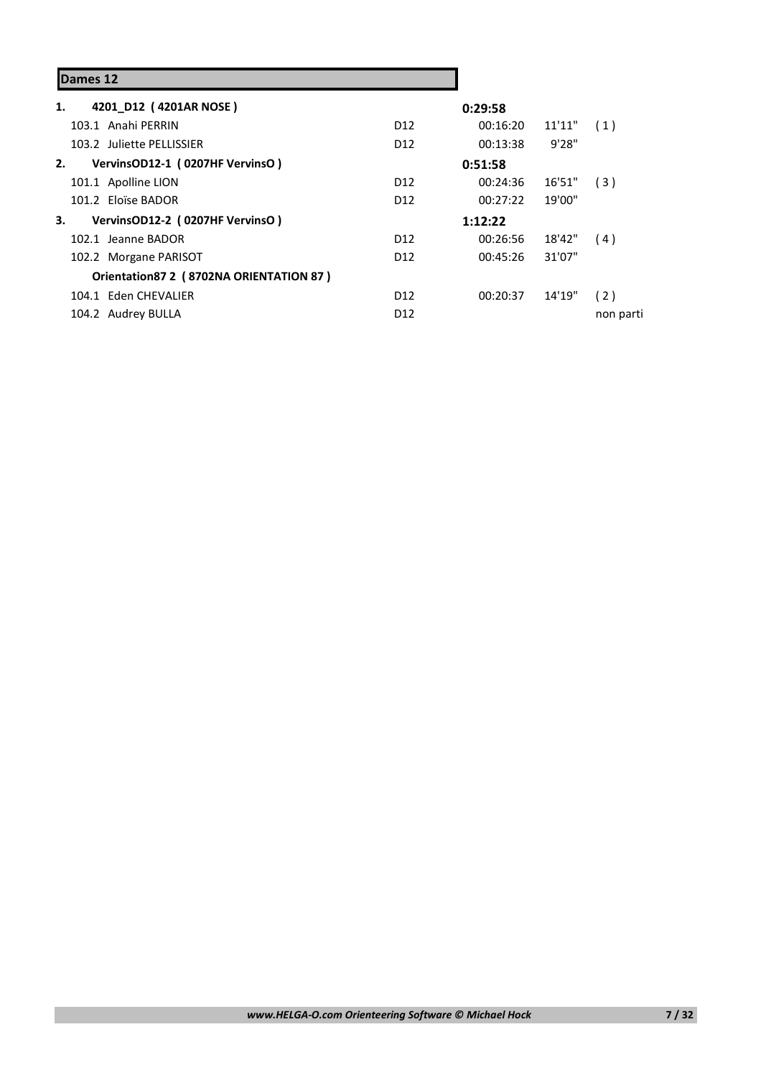# **Dames 12**

| 1. | 4201_D12 (4201AR NOSE)                  |                 | 0:29:58  |         |           |
|----|-----------------------------------------|-----------------|----------|---------|-----------|
|    | 103.1 Anahi PERRIN                      | D <sub>12</sub> | 00:16:20 | 11'11'' | (1)       |
|    | 103.2 Juliette PELLISSIER               | D <sub>12</sub> | 00:13:38 | 9'28"   |           |
| 2. | VervinsOD12-1 (0207HF VervinsO)         |                 | 0:51:58  |         |           |
|    | 101.1 Apolline LION                     | D <sub>12</sub> | 00:24:36 | 16'51"  | (3)       |
|    | 101.2 Eloïse BADOR                      | D <sub>12</sub> | 00:27:22 | 19'00"  |           |
| З. | VervinsOD12-2 (0207HF VervinsO)         |                 | 1:12:22  |         |           |
|    | 102.1 Jeanne BADOR                      | D <sub>12</sub> | 00:26:56 | 18'42"  | (4)       |
|    | 102.2 Morgane PARISOT                   | D <sub>12</sub> | 00:45:26 | 31'07"  |           |
|    | Orientation87 2 (8702NA ORIENTATION 87) |                 |          |         |           |
|    | 104.1 Eden CHEVALIER                    | D <sub>12</sub> | 00:20:37 | 14'19"  | (2)       |
|    | 104.2 Audrey BULLA                      | D <sub>12</sub> |          |         | non parti |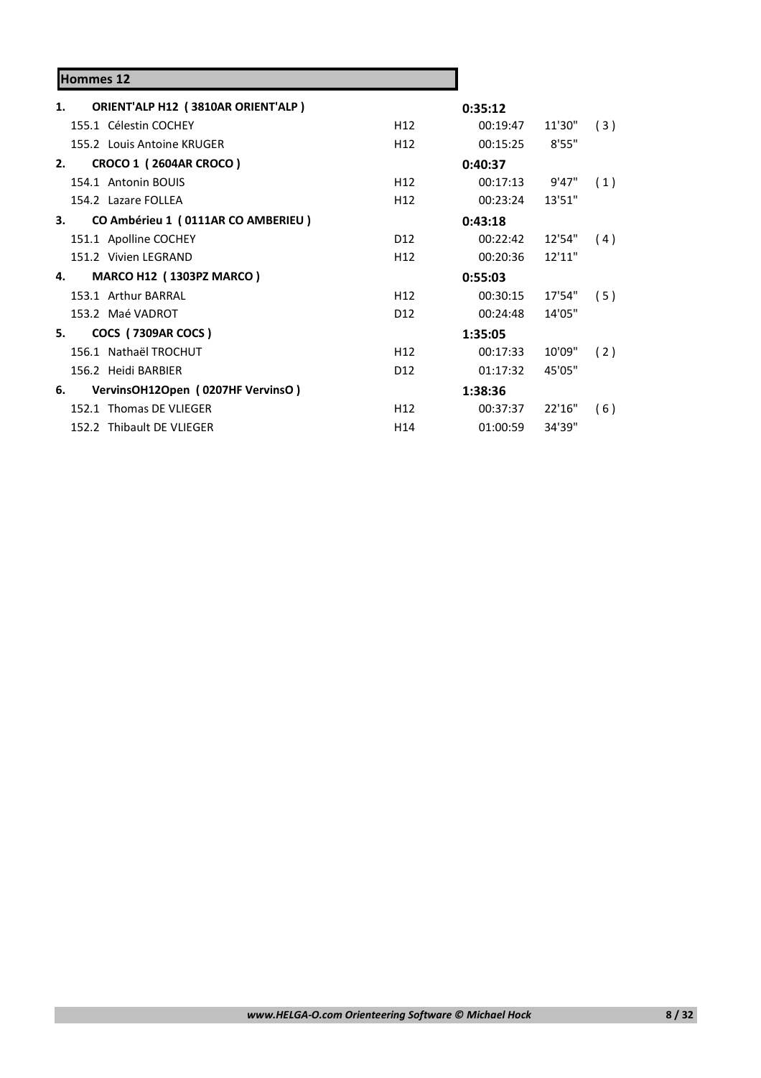|    | <b>Hommes 12</b> |                                    |                 |          |         |     |
|----|------------------|------------------------------------|-----------------|----------|---------|-----|
| 1. |                  | ORIENT'ALP H12 (3810AR ORIENT'ALP) |                 | 0:35:12  |         |     |
|    |                  | 155.1 Célestin COCHEY              | H <sub>12</sub> | 00:19:47 | 11'30"  | (3) |
|    |                  | 155.2 Louis Antoine KRUGER         | H <sub>12</sub> | 00:15:25 | 8'55"   |     |
| 2. |                  | CROCO 1 (2604AR CROCO)             |                 | 0:40:37  |         |     |
|    |                  | 154.1 Antonin BOUIS                | H <sub>12</sub> | 00:17:13 | 9'47"   | (1) |
|    |                  | 154.2 Lazare FOLLEA                | H <sub>12</sub> | 00:23:24 | 13'51"  |     |
| 3. |                  | CO Ambérieu 1 (0111AR CO AMBERIEU) |                 | 0:43:18  |         |     |
|    |                  | 151.1 Apolline COCHEY              | D <sub>12</sub> | 00:22:42 | 12'54"  | (4) |
|    |                  | 151.2 Vivien I FGRAND              | H <sub>12</sub> | 00:20:36 | 12'11'' |     |
| 4. |                  | <b>MARCO H12 (1303PZ MARCO)</b>    |                 | 0:55:03  |         |     |
|    |                  | 153.1 Arthur BARRAI                | H <sub>12</sub> | 00:30:15 | 17'54"  | (5) |
|    |                  | 153.2 Maé VADROT                   | D <sub>12</sub> | 00:24:48 | 14'05"  |     |
| 5. |                  | COCS (7309AR COCS)                 |                 | 1:35:05  |         |     |
|    |                  | 156.1 Nathaël TROCHUT              | H <sub>12</sub> | 00:17:33 | 10'09"  | (2) |
|    |                  | 156.2 Heidi BARBIER                | D <sub>12</sub> | 01:17:32 | 45'05"  |     |
| 6. |                  | VervinsOH12Open (0207HF VervinsO)  |                 | 1:38:36  |         |     |
|    |                  | 152.1 Thomas DE VLIEGER            | H <sub>12</sub> | 00:37:37 | 22'16"  | (6) |
|    |                  | 152.2 Thibault DE VLIEGER          | H14             | 01:00:59 | 34'39"  |     |

÷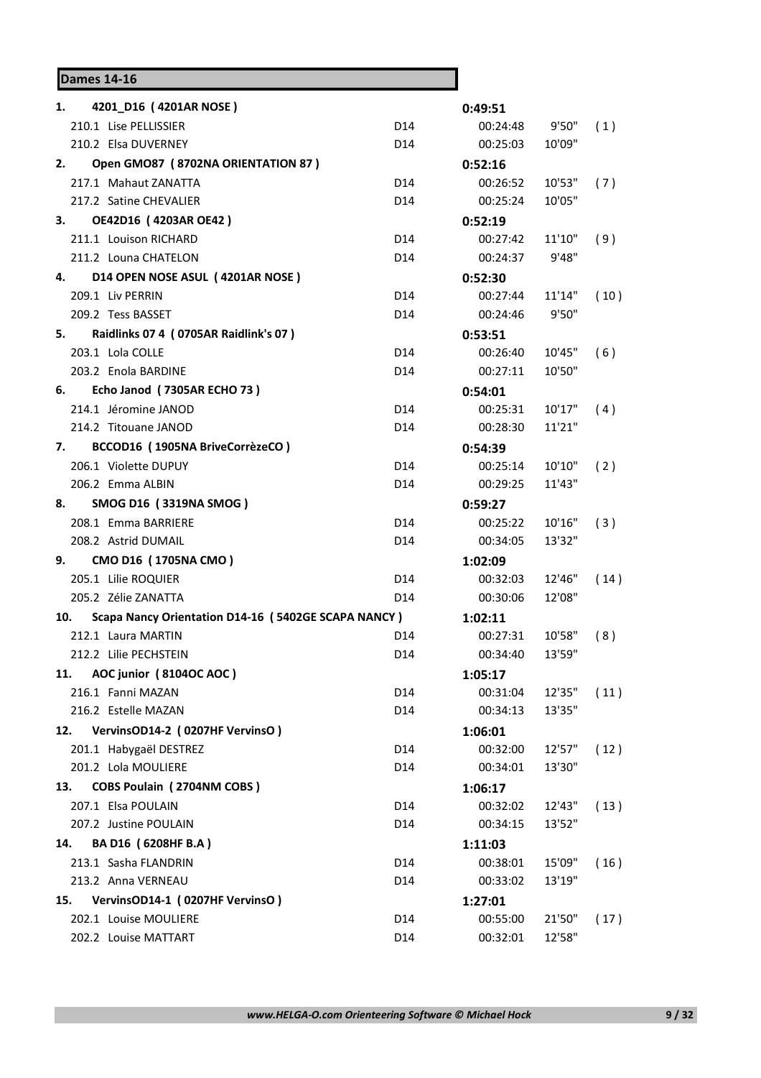|    | <b>Dames 14-16</b> |                                                     |                 |          |        |      |
|----|--------------------|-----------------------------------------------------|-----------------|----------|--------|------|
| 1. |                    | 4201_D16 (4201AR NOSE)                              |                 | 0:49:51  |        |      |
|    |                    | 210.1 Lise PELLISSIER                               | D14             | 00:24:48 | 9'50"  | (1)  |
|    |                    | 210.2 Elsa DUVERNEY                                 | D <sub>14</sub> | 00:25:03 | 10'09" |      |
| 2. |                    | Open GMO87 (8702NA ORIENTATION 87)                  |                 | 0:52:16  |        |      |
|    |                    | 217.1 Mahaut ZANATTA                                | D <sub>14</sub> | 00:26:52 | 10'53" | (7)  |
|    |                    | 217.2 Satine CHEVALIER                              | D <sub>14</sub> | 00:25:24 | 10'05" |      |
| 3. |                    | OE42D16 (4203AR OE42)                               |                 | 0:52:19  |        |      |
|    |                    | 211.1 Louison RICHARD                               | D14             | 00:27:42 | 11'10" | (9)  |
|    |                    | 211.2 Louna CHATELON                                | D14             | 00:24:37 | 9'48"  |      |
| 4. |                    | D14 OPEN NOSE ASUL (4201AR NOSE)                    |                 | 0:52:30  |        |      |
|    |                    | 209.1 Liv PERRIN                                    | D <sub>14</sub> | 00:27:44 | 11'14" | (10) |
|    |                    | 209.2 Tess BASSET                                   | D <sub>14</sub> | 00:24:46 | 9'50"  |      |
|    | 5.                 | Raidlinks 07 4 (0705AR Raidlink's 07)               |                 | 0:53:51  |        |      |
|    |                    | 203.1 Lola COLLE                                    | D <sub>14</sub> | 00:26:40 | 10'45" | (6)  |
|    |                    | 203.2 Enola BARDINE                                 | D <sub>14</sub> | 00:27:11 | 10'50" |      |
| 6. |                    | Echo Janod (7305AR ECHO 73)                         |                 | 0:54:01  |        |      |
|    |                    | 214.1 Jéromine JANOD                                | D <sub>14</sub> | 00:25:31 | 10'17" | (4)  |
|    |                    | 214.2 Titouane JANOD                                | D <sub>14</sub> | 00:28:30 | 11'21" |      |
| 7. |                    | BCCOD16 (1905NA BriveCorrèzeCO)                     |                 | 0:54:39  |        |      |
|    |                    | 206.1 Violette DUPUY                                | D14             | 00:25:14 | 10'10" | (2)  |
|    |                    | 206.2 Emma ALBIN                                    | D <sub>14</sub> | 00:29:25 | 11'43" |      |
| 8. |                    | SMOG D16 (3319NA SMOG)                              |                 | 0:59:27  |        |      |
|    |                    | 208.1 Emma BARRIERE                                 | D14             | 00:25:22 | 10'16" | (3)  |
|    |                    | 208.2 Astrid DUMAIL                                 | D14             | 00:34:05 | 13'32" |      |
| 9. |                    | CMO D16 (1705NA CMO)                                |                 | 1:02:09  |        |      |
|    |                    | 205.1 Lilie ROQUIER                                 | D <sub>14</sub> | 00:32:03 | 12'46" | (14) |
|    |                    | 205.2 Zélie ZANATTA                                 | D <sub>14</sub> | 00:30:06 | 12'08" |      |
|    | 10.                | Scapa Nancy Orientation D14-16 (5402GE SCAPA NANCY) |                 | 1:02:11  |        |      |
|    |                    | 212.1 Laura MARTIN                                  | D14             | 00:27:31 | 10'58" | (8)  |
|    |                    | 212.2 Lilie PECHSTEIN                               | D <sub>14</sub> | 00:34:40 | 13'59" |      |
|    | 11.                | AOC junior (8104OC AOC)                             |                 | 1:05:17  |        |      |
|    |                    | 216.1 Fanni MAZAN                                   | D14             | 00:31:04 | 12'35" | (11) |
|    |                    | 216.2 Estelle MAZAN                                 | D14             | 00:34:13 | 13'35" |      |
|    |                    | 12. VervinsOD14-2 (0207HF VervinsO)                 |                 | 1:06:01  |        |      |
|    |                    | 201.1 Habygaël DESTREZ                              | D14             | 00:32:00 | 12'57" | (12) |
|    |                    | 201.2 Lola MOULIERE                                 | D14             | 00:34:01 | 13'30" |      |
|    | 13.                | <b>COBS Poulain (2704NM COBS)</b>                   |                 | 1:06:17  |        |      |
|    |                    | 207.1 Elsa POULAIN                                  | D <sub>14</sub> | 00:32:02 | 12'43" | (13) |
|    |                    | 207.2 Justine POULAIN                               | D <sub>14</sub> | 00:34:15 | 13'52" |      |
|    | 14.                | BA D16 (6208HF B.A)                                 |                 | 1:11:03  |        |      |
|    |                    | 213.1 Sasha FLANDRIN                                | D14             | 00:38:01 | 15'09" | (16) |
|    |                    | 213.2 Anna VERNEAU                                  | D14             | 00:33:02 | 13'19" |      |
|    | 15.                | VervinsOD14-1 (0207HF VervinsO)                     |                 | 1:27:01  |        |      |
|    |                    | 202.1 Louise MOULIERE                               | D14             | 00:55:00 | 21'50" | (17) |
|    |                    | 202.2 Louise MATTART                                | D14             | 00:32:01 | 12'58" |      |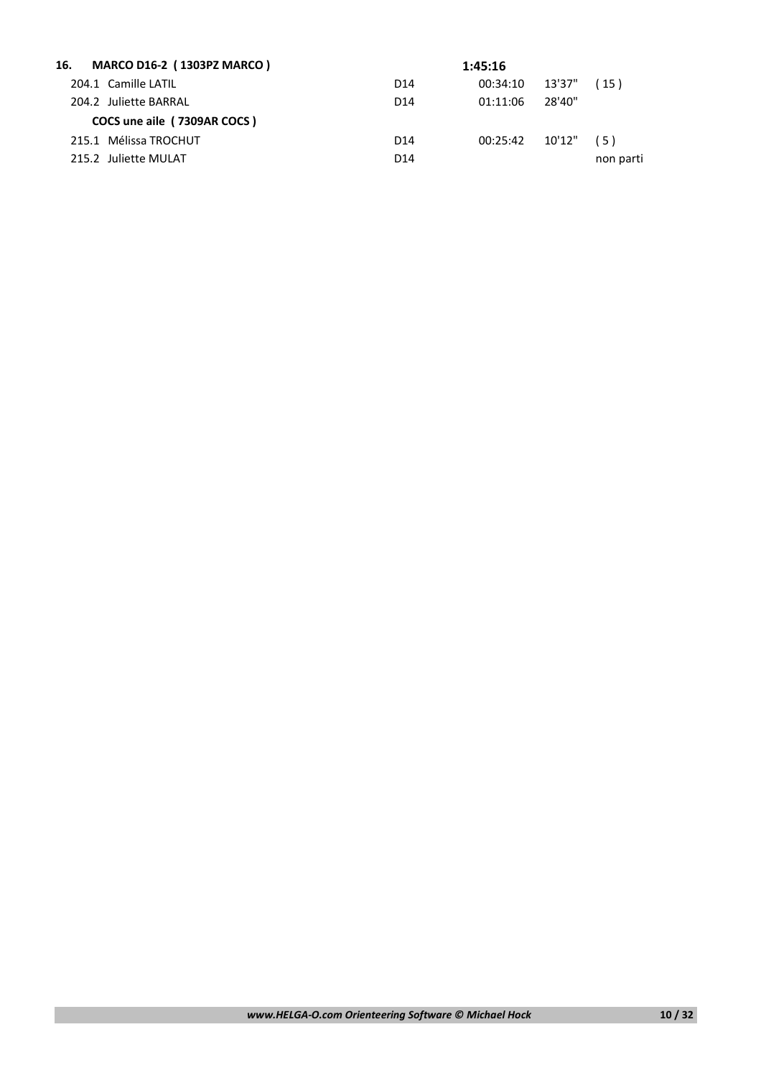| 16.<br><b>MARCO D16-2 (1303PZ MARCO)</b> |                 | 1:45:16         |              |           |
|------------------------------------------|-----------------|-----------------|--------------|-----------|
| 204.1 Camille LATIL                      | D <sub>14</sub> | 00:34:10 13'37" |              | (15)      |
| 204.2 Juliette BARRAL                    | D <sub>14</sub> | 01:11:06        | 28'40"       |           |
| COCS une aile (7309AR COCS)              |                 |                 |              |           |
| 215.1 Mélissa TROCHUT                    | D <sub>14</sub> | 00:25:42        | $10'12"$ (5) |           |
| 215.2 Juliette MULAT                     | D <sub>14</sub> |                 |              | non parti |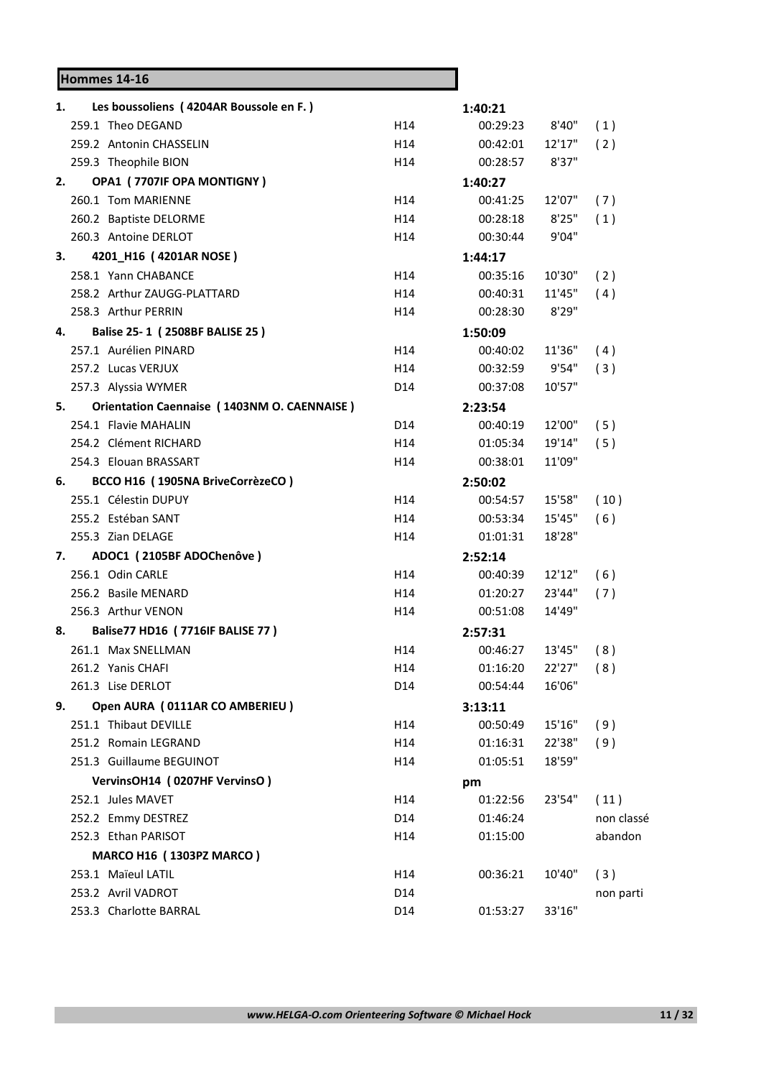# **Hommes 14-16**

| 1. |    | Les boussoliens (4204AR Boussole en F.)     |     | 1:40:21  |        |            |
|----|----|---------------------------------------------|-----|----------|--------|------------|
|    |    | 259.1 Theo DEGAND                           | H14 | 00:29:23 | 8'40"  | (1)        |
|    |    | 259.2 Antonin CHASSELIN                     | H14 | 00:42:01 | 12'17" | (2)        |
|    |    | 259.3 Theophile BION                        | H14 | 00:28:57 | 8'37"  |            |
| 2. |    | OPA1 (7707IF OPA MONTIGNY)                  |     | 1:40:27  |        |            |
|    |    | 260.1 Tom MARIENNE                          | H14 | 00:41:25 | 12'07" | (7)        |
|    |    | 260.2 Baptiste DELORME                      | H14 | 00:28:18 | 8'25"  | (1)        |
|    |    | 260.3 Antoine DERLOT                        | H14 | 00:30:44 | 9'04"  |            |
| З. |    | 4201_H16 (4201AR NOSE)                      |     | 1:44:17  |        |            |
|    |    | 258.1 Yann CHABANCE                         | H14 | 00:35:16 | 10'30" | (2)        |
|    |    | 258.2 Arthur ZAUGG-PLATTARD                 | H14 | 00:40:31 | 11'45" | (4)        |
|    |    | 258.3 Arthur PERRIN                         | H14 | 00:28:30 | 8'29"  |            |
| 4. |    | Balise 25-1 (2508BF BALISE 25)              |     | 1:50:09  |        |            |
|    |    | 257.1 Aurélien PINARD                       | H14 | 00:40:02 | 11'36" | (4)        |
|    |    | 257.2 Lucas VERJUX                          | H14 | 00:32:59 | 9'54"  | (3)        |
|    |    | 257.3 Alyssia WYMER                         | D14 | 00:37:08 | 10'57" |            |
| 5. |    | Orientation Caennaise (1403NM O. CAENNAISE) |     | 2:23:54  |        |            |
|    |    | 254.1 Flavie MAHALIN                        | D14 | 00:40:19 | 12'00" | (5)        |
|    |    | 254.2 Clément RICHARD                       | H14 | 01:05:34 | 19'14" | (5)        |
|    |    | 254.3 Elouan BRASSART                       | H14 | 00:38:01 | 11'09" |            |
| 6. |    | BCCO H16 (1905NA BriveCorrèzeCO)            |     | 2:50:02  |        |            |
|    |    | 255.1 Célestin DUPUY                        | H14 | 00:54:57 | 15'58" | (10)       |
|    |    | 255.2 Estéban SANT                          | H14 | 00:53:34 | 15'45" | (6)        |
|    |    | 255.3 Zian DELAGE                           | H14 | 01:01:31 | 18'28" |            |
|    | 7. | ADOC1 (2105BF ADOChenôve)                   |     | 2:52:14  |        |            |
|    |    | 256.1 Odin CARLE                            | H14 | 00:40:39 | 12'12" | (6)        |
|    |    | 256.2 Basile MENARD                         | H14 | 01:20:27 | 23'44" | (7)        |
|    |    | 256.3 Arthur VENON                          | H14 | 00:51:08 | 14'49" |            |
| 8. |    | Balise 77 HD16 (7716IF BALISE 77)           |     | 2:57:31  |        |            |
|    |    | 261.1 Max SNELLMAN                          | H14 | 00:46:27 | 13'45" | (8)        |
|    |    | 261.2 Yanis CHAFI                           | H14 | 01:16:20 | 22'27" | (8)        |
|    |    | 261.3 Lise DERLOT                           | D14 | 00:54:44 | 16'06" |            |
| 9. |    | Open AURA (0111AR CO AMBERIEU)              |     | 3:13:11  |        |            |
|    |    | 251.1 Thibaut DEVILLE                       | H14 | 00:50:49 | 15'16" | (9)        |
|    |    | 251.2 Romain LEGRAND                        | H14 | 01:16:31 | 22'38" | (9)        |
|    |    | 251.3 Guillaume BEGUINOT                    | H14 | 01:05:51 | 18'59" |            |
|    |    | VervinsOH14 (0207HF VervinsO)               |     | pm       |        |            |
|    |    | 252.1 Jules MAVET                           | H14 | 01:22:56 | 23'54" | (11)       |
|    |    | 252.2 Emmy DESTREZ                          | D14 | 01:46:24 |        | non classé |
|    |    | 252.3 Ethan PARISOT                         | H14 | 01:15:00 |        | abandon    |
|    |    | MARCO H16 (1303PZ MARCO)                    |     |          |        |            |
|    |    | 253.1 Maïeul LATIL                          | H14 | 00:36:21 | 10'40" | (3)        |
|    |    | 253.2 Avril VADROT                          | D14 |          |        | non parti  |
|    |    | 253.3 Charlotte BARRAL                      | D14 | 01:53:27 | 33'16" |            |
|    |    |                                             |     |          |        |            |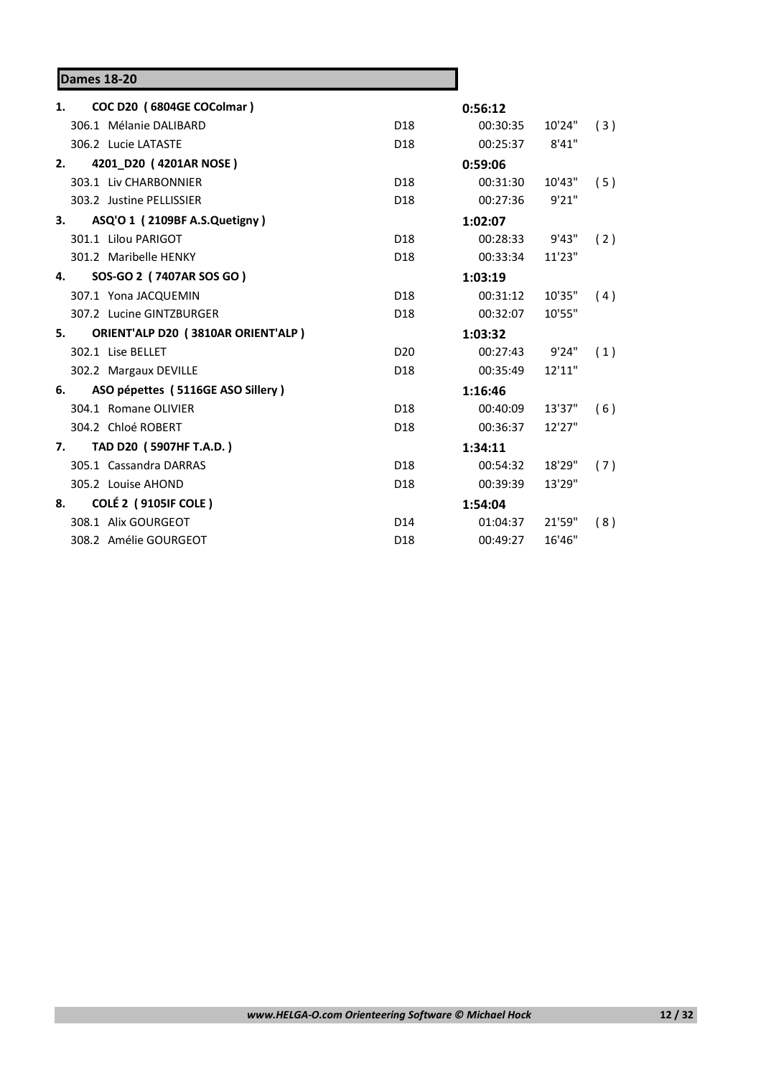|    | <b>Dames 18-20</b>                 |                 |                |         |     |
|----|------------------------------------|-----------------|----------------|---------|-----|
| 1. | COC D20 (6804GE COColmar)          |                 | 0:56:12        |         |     |
|    | 306.1 Mélanie DALIBARD             | D <sub>18</sub> | 00:30:35       | 10'24"  | (3) |
|    | 306.2 Lucie LATASTE                | D18             | 00:25:37 8'41" |         |     |
|    | 2. 4201_D20 (4201AR NOSE)          |                 | 0:59:06        |         |     |
|    | 303.1 Liv CHARBONNIER              | D18             | 00:31:30       | 10'43"  | (5) |
|    | 303.2 Justine PELLISSIER           | D <sub>18</sub> | 00:27:36       | 9'21"   |     |
|    | 3. ASQ'O 1 (2109BF A.S.Quetigny)   |                 | 1:02:07        |         |     |
|    | 301.1 Lilou PARIGOT                | D <sub>18</sub> | 00:28:33       | 9'43"   | (2) |
|    | 301.2 Maribelle HENKY              | D18             | 00:33:34       | 11'23"  |     |
| 4. | SOS-GO 2 (7407AR SOS GO)           |                 | 1:03:19        |         |     |
|    | 307.1 Yona JACQUEMIN               | D18             | 00:31:12       | 10'35"  | (4) |
|    | 307.2 Lucine GINTZBURGER           | D <sub>18</sub> | 00:32:07       | 10'55"  |     |
| 5. | ORIENT'ALP D20 (3810AR ORIENT'ALP) |                 | 1:03:32        |         |     |
|    | 302.1 Lise BELLET                  | D <sub>20</sub> | 00:27:43 9'24" |         | (1) |
|    | 302.2 Margaux DEVILLE              | D <sub>18</sub> | 00:35:49       | 12'11'' |     |
| 6. | ASO pépettes (5116GE ASO Sillery)  |                 | 1:16:46        |         |     |
|    | 304.1 Romane OLIVIER               | D <sub>18</sub> | 00:40:09       | 13'37"  | (6) |
|    | 304.2 Chloé ROBERT                 | D <sub>18</sub> | 00:36:37       | 12'27"  |     |
| 7. | TAD D20 (5907HF T.A.D.)            |                 | 1:34:11        |         |     |
|    | 305.1 Cassandra DARRAS             | D18             | 00:54:32       | 18'29"  | (7) |
|    | 305.2 Louise AHOND                 | D <sub>18</sub> | 00:39:39       | 13'29"  |     |
| 8. | COLÉ 2 (9105IF COLE)               |                 | 1:54:04        |         |     |
|    | 308.1 Alix GOURGEOT                | D <sub>14</sub> | 01:04:37       | 21'59"  | (8) |
|    | 308.2 Amélie GOURGEOT              | D <sub>18</sub> | 00:49:27       | 16'46"  |     |

┑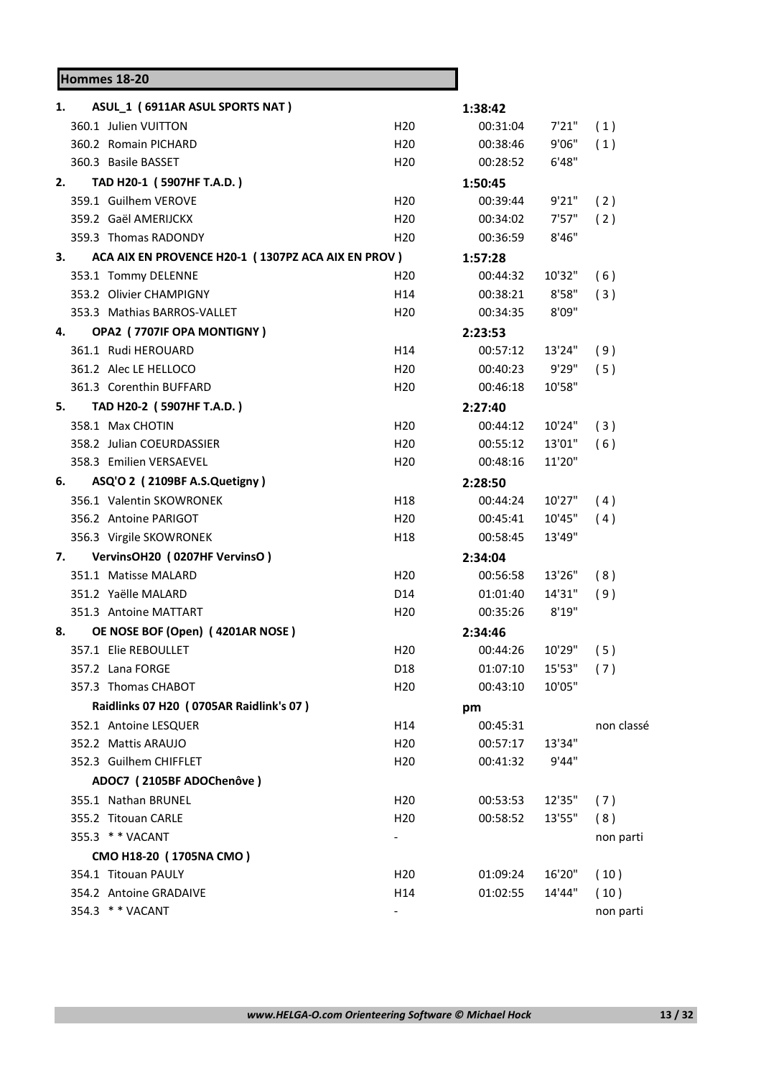| Hommes 18-20                                             |                 |          |        |            |
|----------------------------------------------------------|-----------------|----------|--------|------------|
| ASUL_1 (6911AR ASUL SPORTS NAT)<br>1.                    |                 | 1:38:42  |        |            |
| 360.1 Julien VUITTON                                     | H <sub>20</sub> | 00:31:04 | 7'21"  | (1)        |
| 360.2 Romain PICHARD                                     | H <sub>20</sub> | 00:38:46 | 9'06"  | (1)        |
| 360.3 Basile BASSET                                      | H <sub>20</sub> | 00:28:52 | 6'48"  |            |
| TAD H20-1 (5907HF T.A.D.)<br>2.                          |                 | 1:50:45  |        |            |
| 359.1 Guilhem VEROVE                                     | H <sub>20</sub> | 00:39:44 | 9'21"  | (2)        |
| 359.2 Gaël AMERIJCKX                                     | H <sub>20</sub> | 00:34:02 | 7'57"  | (2)        |
| 359.3 Thomas RADONDY                                     | H <sub>20</sub> | 00:36:59 | 8'46"  |            |
| 3.<br>ACA AIX EN PROVENCE H20-1 (1307PZ ACA AIX EN PROV) |                 | 1:57:28  |        |            |
| 353.1 Tommy DELENNE                                      | H <sub>20</sub> | 00:44:32 | 10'32" | (6)        |
| 353.2 Olivier CHAMPIGNY                                  | H14             | 00:38:21 | 8'58"  | (3)        |
| 353.3 Mathias BARROS-VALLET                              | H <sub>20</sub> | 00:34:35 | 8'09"  |            |
| OPA2 (7707IF OPA MONTIGNY)<br>4.                         |                 | 2:23:53  |        |            |
| 361.1 Rudi HEROUARD                                      | H14             | 00:57:12 | 13'24" | (9)        |
| 361.2 Alec LE HELLOCO                                    | H <sub>20</sub> | 00:40:23 | 9'29"  | (5)        |
| 361.3 Corenthin BUFFARD                                  | H <sub>20</sub> | 00:46:18 | 10'58" |            |
| TAD H20-2 (5907HF T.A.D.)<br>5.                          |                 | 2:27:40  |        |            |
| 358.1 Max CHOTIN                                         | H <sub>20</sub> | 00:44:12 | 10'24" | (3)        |
| 358.2 Julian COEURDASSIER                                | H <sub>20</sub> | 00:55:12 | 13'01" | (6)        |
| 358.3 Emilien VERSAEVEL                                  | H <sub>20</sub> | 00:48:16 | 11'20" |            |
| ASQ'O 2 (2109BF A.S.Quetigny)<br>6.                      |                 | 2:28:50  |        |            |
| 356.1 Valentin SKOWRONEK                                 | H18             | 00:44:24 | 10'27" | (4)        |
| 356.2 Antoine PARIGOT                                    | H <sub>20</sub> | 00:45:41 | 10'45" | (4)        |
| 356.3 Virgile SKOWRONEK                                  | H <sub>18</sub> | 00:58:45 | 13'49" |            |
| VervinsOH20 (0207HF VervinsO)<br>7.                      |                 | 2:34:04  |        |            |
| 351.1 Matisse MALARD                                     | H <sub>20</sub> | 00:56:58 | 13'26" | (8)        |
| 351.2 Yaëlle MALARD                                      | D14             | 01:01:40 | 14'31" | (9)        |
| 351.3 Antoine MATTART                                    | H <sub>20</sub> | 00:35:26 | 8'19"  |            |
| OE NOSE BOF (Open) (4201AR NOSE)<br>8.                   |                 | 2:34:46  |        |            |
| 357.1 Elie REBOULLET                                     | H <sub>20</sub> | 00:44:26 | 10'29" | (5)        |
| 357.2 Lana FORGE                                         | D18             | 01:07:10 | 15'53" | (7)        |
| 357.3 Thomas CHABOT                                      | H <sub>20</sub> | 00:43:10 | 10'05" |            |
| Raidlinks 07 H20 (0705AR Raidlink's 07)                  |                 | pm       |        |            |
| 352.1 Antoine LESQUER                                    | H14             | 00:45:31 |        | non classé |
| 352.2 Mattis ARAUJO                                      | H <sub>20</sub> | 00:57:17 | 13'34" |            |
| 352.3 Guilhem CHIFFLET                                   | H <sub>20</sub> | 00:41:32 | 9'44"  |            |
| ADOC7 (2105BF ADOChenôve)                                |                 |          |        |            |
| 355.1 Nathan BRUNEL                                      | H <sub>20</sub> | 00:53:53 | 12'35" | (7)        |
| 355.2 Titouan CARLE                                      | H <sub>20</sub> | 00:58:52 | 13'55" | (8)        |
| 355.3 * * VACANT                                         |                 |          |        | non parti  |
| CMO H18-20 (1705NA CMO)                                  |                 |          |        |            |
| 354.1 Titouan PAULY                                      | H <sub>20</sub> | 01:09:24 | 16'20" | (10)       |
| 354.2 Antoine GRADAIVE                                   | H14             | 01:02:55 | 14'44" | (10)       |
| 354.3 ** VACANT                                          |                 |          |        | non parti  |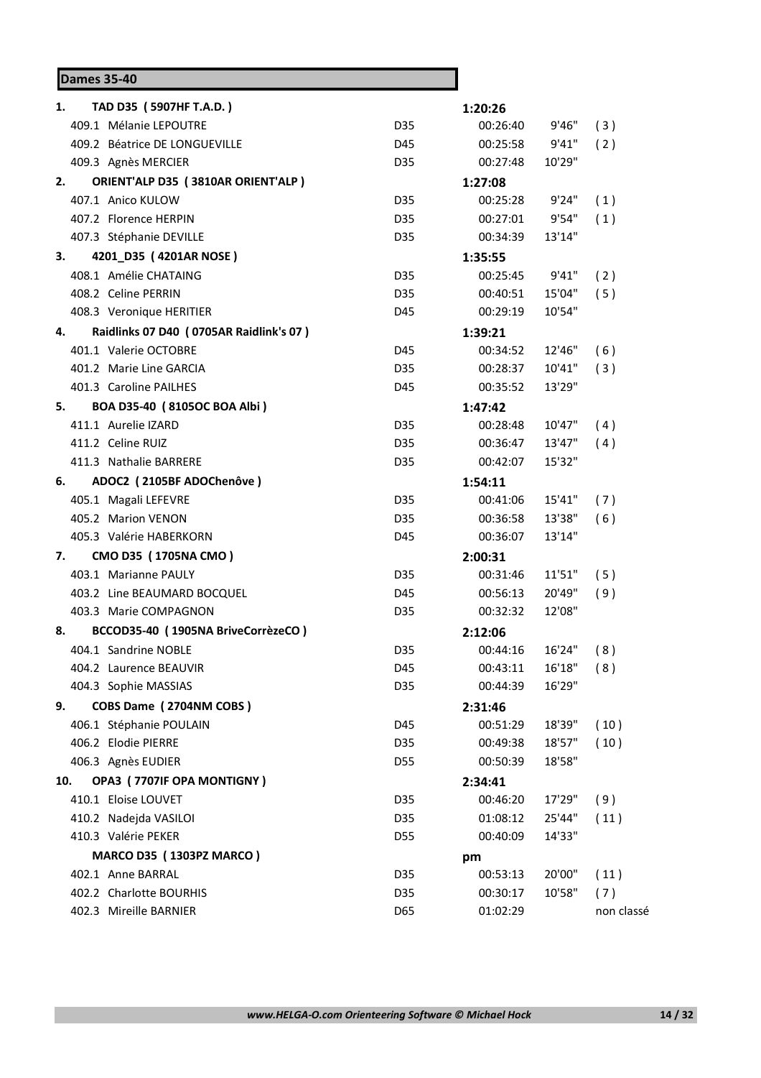#### **Dames 35-40 1. TAD D35 ( 5907HF T.A.D. ) 1:20:26** 409.1 Mélanie LEPOUTRE D35 00:26:40 9'46" ( 3 ) 409.2 Béatrice DE LONGUEVILLE D45 00:25:58 9'41" ( 2 ) 409.3 Agnès MERCIER D35 00:27:48 10'29" **2. ORIENT'ALP D35 ( 3810AR ORIENT'ALP ) 1:27:08** 407.1 Anico KULOW D35 00:25:28 9'24" ( 1 ) 407.2 Florence HERPIN D35 00:27:01 9'54" ( 1 ) 407.3 Stéphanie DEVILLE D35 00:34:39 13'14" **3. 4201\_D35 ( 4201AR NOSE ) 1:35:55** 408.1 Amélie CHATAING D35 00:25:45 9'41" ( 2 ) 408.2 Celine PERRIN D35 00:40:51 15'04" ( 5 ) 408.3 Veronique HERITIER **D45** 00:29:19 10'54" **4. Raidlinks 07 D40 ( 0705AR Raidlink's 07 ) 1:39:21** 401.1 Valerie OCTOBRE D45 00:34:52 12'46" ( 6 ) 401.2 Marie Line GARCIA D35 00:28:37 10'41" ( 3 ) 401.3 Caroline PAILHES D45 00:35:52 13'29" **5. BOA D35-40 ( 8105OC BOA Albi ) 1:47:42** 411.1 Aurelie IZARD D35 00:28:48 10'47" ( 4 ) 411.2 Celine RUIZ D35 00:36:47 13'47" ( 4 ) 411.3 Nathalie BARRERE D35 00:42:07 15'32" **6. ADOC2 ( 2105BF ADOChenôve ) 1:54:11** 405.1 Magali LEFEVRE D35 00:41:06 15'41" ( 7 ) 405.2 Marion VENON D35 00:36:58 13'38" ( 6 ) 405.3 Valérie HABERKORN D45 00:36:07 13'14" **7. CMO D35 ( 1705NA CMO ) 2:00:31** 403.1 Marianne PAULY D35 00:31:46 11'51" ( 5 ) 403.2 Line BEAUMARD BOCQUEL D45 00:56:13 20'49" ( 9 ) 403.3 Marie COMPAGNON D35 00:32:32 12'08" **8. BCCOD35-40 ( 1905NA BriveCorrèzeCO ) 2:12:06** 404.1 Sandrine NOBLE D35 00:44:16 16'24" ( 8 ) 404.2 Laurence BEAUVIR D45 00:43:11 16'18" ( 8 ) 404.3 Sophie MASSIAS D35 00:44:39 16'29" **9. COBS Dame ( 2704NM COBS ) 2:31:46** 406.1 Stéphanie POULAIN D45 00:51:29 18'39" ( 10 ) 406.2 Elodie PIERRE D35 00:49:38 18'57" ( 10 ) 406.3 Agnès EUDIER D55 00:50:39 18'58" **10. OPA3 ( 7707IF OPA MONTIGNY ) 2:34:41** 410.1 Eloise LOUVET D35 00:46:20 17'29" ( 9 ) 410.2 Nadejda VASILOI D35 01:08:12 25'44" ( 11 ) 410.3 Valérie PEKER D55 00:40:09 14'33" **MARCO D35 ( 1303PZ MARCO ) pm** 402.1 Anne BARRAL D35 00:53:13 20'00" ( 11 ) 402.2 Charlotte BOURHIS D35 00:30:17 10'58" ( 7 ) 402.3 Mireille BARNIER D65 01:02:29 non classé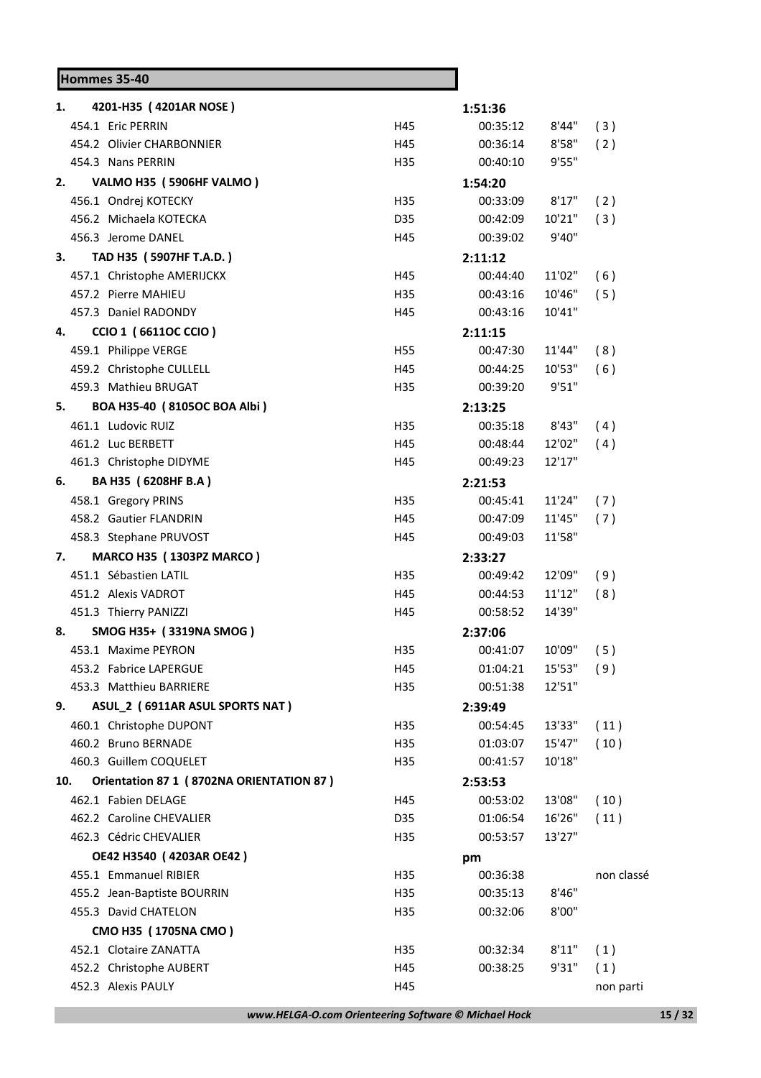# **Hommes 35-40**

| 1.  | 4201-H35 (4201AR NOSE)                   |     | 1:51:36  |        |            |
|-----|------------------------------------------|-----|----------|--------|------------|
|     | 454.1 Eric PERRIN                        | H45 | 00:35:12 | 8'44"  | (3)        |
|     | 454.2 Olivier CHARBONNIER                | H45 | 00:36:14 | 8'58"  | (2)        |
|     | 454.3 Nans PERRIN                        | H35 | 00:40:10 | 9'55"  |            |
| 2.  | VALMO H35 (5906HF VALMO)                 |     | 1:54:20  |        |            |
|     | 456.1 Ondrej KOTECKY                     | H35 | 00:33:09 | 8'17"  | (2)        |
|     | 456.2 Michaela KOTECKA                   | D35 | 00:42:09 | 10'21" | (3)        |
|     | 456.3 Jerome DANEL                       | H45 | 00:39:02 | 9'40'' |            |
| 3.  | TAD H35 (5907HF T.A.D.)                  |     | 2:11:12  |        |            |
|     | 457.1 Christophe AMERIJCKX               | H45 | 00:44:40 | 11'02" | (6)        |
|     | 457.2 Pierre MAHIEU                      | H35 | 00:43:16 | 10'46" | (5)        |
|     | 457.3 Daniel RADONDY                     | H45 | 00:43:16 | 10'41" |            |
| 4.  | <b>CCIO 1 (6611OC CCIO)</b>              |     | 2:11:15  |        |            |
|     | 459.1 Philippe VERGE                     | H55 | 00:47:30 | 11'44" | (8)        |
|     | 459.2 Christophe CULLELL                 | H45 | 00:44:25 | 10'53" | (6)        |
|     | 459.3 Mathieu BRUGAT                     | H35 | 00:39:20 | 9'51"  |            |
| 5.  | BOA H35-40 (8105OC BOA Albi)             |     | 2:13:25  |        |            |
|     | 461.1 Ludovic RUIZ                       | H35 | 00:35:18 | 8'43"  | (4)        |
|     | 461.2 Luc BERBETT                        | H45 | 00:48:44 | 12'02" | (4)        |
|     | 461.3 Christophe DIDYME                  | H45 | 00:49:23 | 12'17" |            |
| 6.  | BA H35 (6208HF B.A)                      |     | 2:21:53  |        |            |
|     | 458.1 Gregory PRINS                      | H35 | 00:45:41 | 11'24" | (7)        |
|     | 458.2 Gautier FLANDRIN                   | H45 | 00:47:09 | 11'45" | (7)        |
|     | 458.3 Stephane PRUVOST                   | H45 | 00:49:03 | 11'58" |            |
| 7.  | <b>MARCO H35 (1303PZ MARCO)</b>          |     | 2:33:27  |        |            |
|     | 451.1 Sébastien LATIL                    | H35 | 00:49:42 | 12'09" | (9)        |
|     | 451.2 Alexis VADROT                      | H45 | 00:44:53 | 11'12" | (8)        |
|     | 451.3 Thierry PANIZZI                    | H45 | 00:58:52 | 14'39" |            |
| 8.  | SMOG H35+ (3319NA SMOG)                  |     | 2:37:06  |        |            |
|     | 453.1 Maxime PEYRON                      | H35 | 00:41:07 | 10'09" | (5)        |
|     | 453.2 Fabrice LAPERGUE                   | H45 | 01:04:21 | 15'53" | (9)        |
|     | 453.3 Matthieu BARRIERE                  | H35 | 00:51:38 | 12'51" |            |
| 9.  | ASUL_2 (6911AR ASUL SPORTS NAT)          |     | 2:39:49  |        |            |
|     | 460.1 Christophe DUPONT                  | H35 | 00:54:45 | 13'33" | (11)       |
|     | 460.2 Bruno BERNADE                      | H35 | 01:03:07 | 15'47" | (10)       |
|     | 460.3 Guillem COQUELET                   | H35 | 00:41:57 | 10'18" |            |
| 10. | Orientation 87 1 (8702NA ORIENTATION 87) |     | 2:53:53  |        |            |
|     | 462.1 Fabien DELAGE                      | H45 | 00:53:02 | 13'08" | (10)       |
|     | 462.2 Caroline CHEVALIER                 | D35 | 01:06:54 | 16'26" | (11)       |
|     | 462.3 Cédric CHEVALIER                   | H35 | 00:53:57 | 13'27" |            |
|     | OE42 H3540 (4203AR OE42)                 |     | pm       |        |            |
|     | 455.1 Emmanuel RIBIER                    | H35 | 00:36:38 |        | non classé |
|     | 455.2 Jean-Baptiste BOURRIN              | H35 | 00:35:13 | 8'46'' |            |
|     | 455.3 David CHATELON                     | H35 | 00:32:06 | 8'00"  |            |
|     | CMO H35 (1705NA CMO)                     |     |          |        |            |
|     | 452.1 Clotaire ZANATTA                   | H35 | 00:32:34 | 8'11"  | (1)        |
|     | 452.2 Christophe AUBERT                  | H45 | 00:38:25 | 9'31"  | (1)        |
|     | 452.3 Alexis PAULY                       | H45 |          |        | non parti  |
|     |                                          |     |          |        |            |

*www.HELGA-O.com Orienteering Software © Michael Hock* **15 / 32**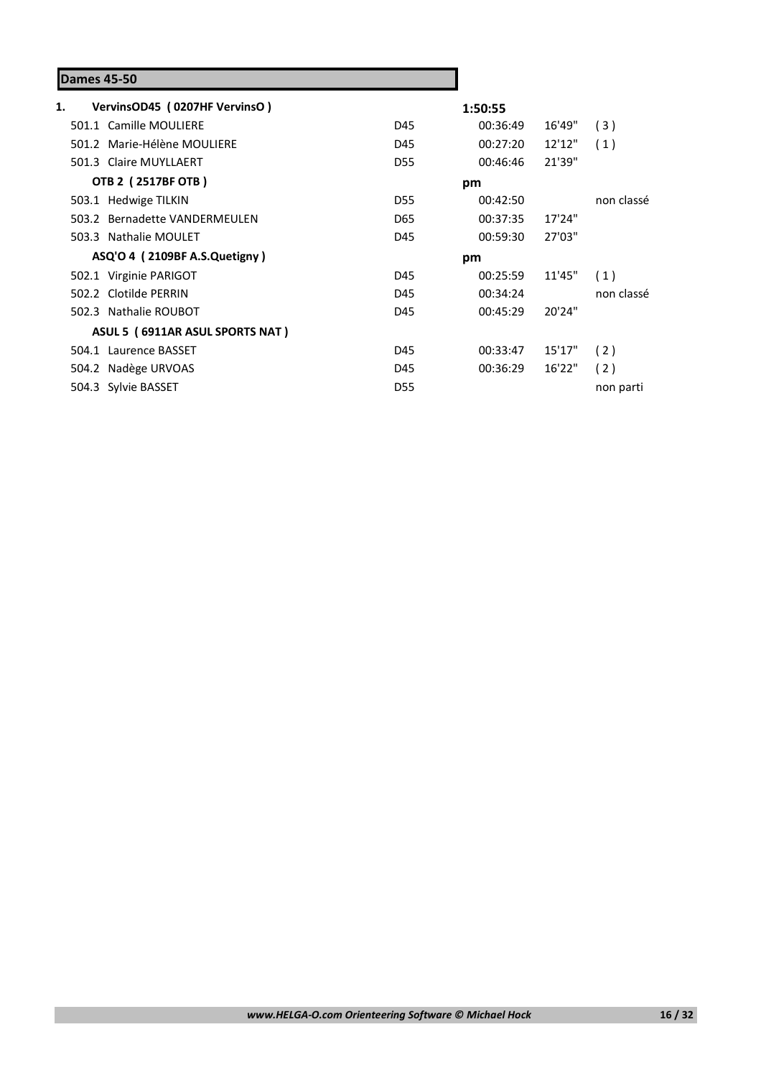# **Dames 45-50**

| 1. |       | VervinsOD45 (0207HF VervinsO)   |            | 1:50:55  |         |            |
|----|-------|---------------------------------|------------|----------|---------|------------|
|    |       | 501.1 Camille MOULIERE          | D45        | 00:36:49 | 16'49"  | (3)        |
|    |       | 501.2 Marie-Hélène MOULIERE     | D45        | 00:27:20 | 12'12"  | (1)        |
|    |       | 501.3 Claire MUYLLAERT          | <b>D55</b> | 00:46:46 | 21'39"  |            |
|    |       | OTB 2 (2517BF OTB)              |            | pm       |         |            |
|    |       | 503.1 Hedwige TILKIN            | D55        | 00:42:50 |         | non classé |
|    | 503.2 | <b>Bernadette VANDERMEULEN</b>  | D65        | 00:37:35 | 17'24"  |            |
|    |       | 503.3 Nathalie MOULET           | D45        | 00:59:30 | 27'03"  |            |
|    |       | ASQ'O 4 (2109BF A.S.Quetigny)   |            | pm       |         |            |
|    |       | 502.1 Virginie PARIGOT          | D45        | 00:25:59 | 11'45"  | (1)        |
|    |       | 502.2 Clotilde PERRIN           | D45        | 00:34:24 |         | non classé |
|    |       | 502.3 Nathalie ROUBOT           | D45        | 00:45:29 | 20'24"  |            |
|    |       | ASUL 5 (6911AR ASUL SPORTS NAT) |            |          |         |            |
|    |       | 504.1 Laurence BASSET           | D45        | 00:33:47 | 15'17'' | (2)        |
|    |       | 504.2 Nadège URVOAS             | D45        | 00:36:29 | 16'22"  | (2)        |
|    |       | 504.3 Sylvie BASSET             | <b>D55</b> |          |         | non parti  |
|    |       |                                 |            |          |         |            |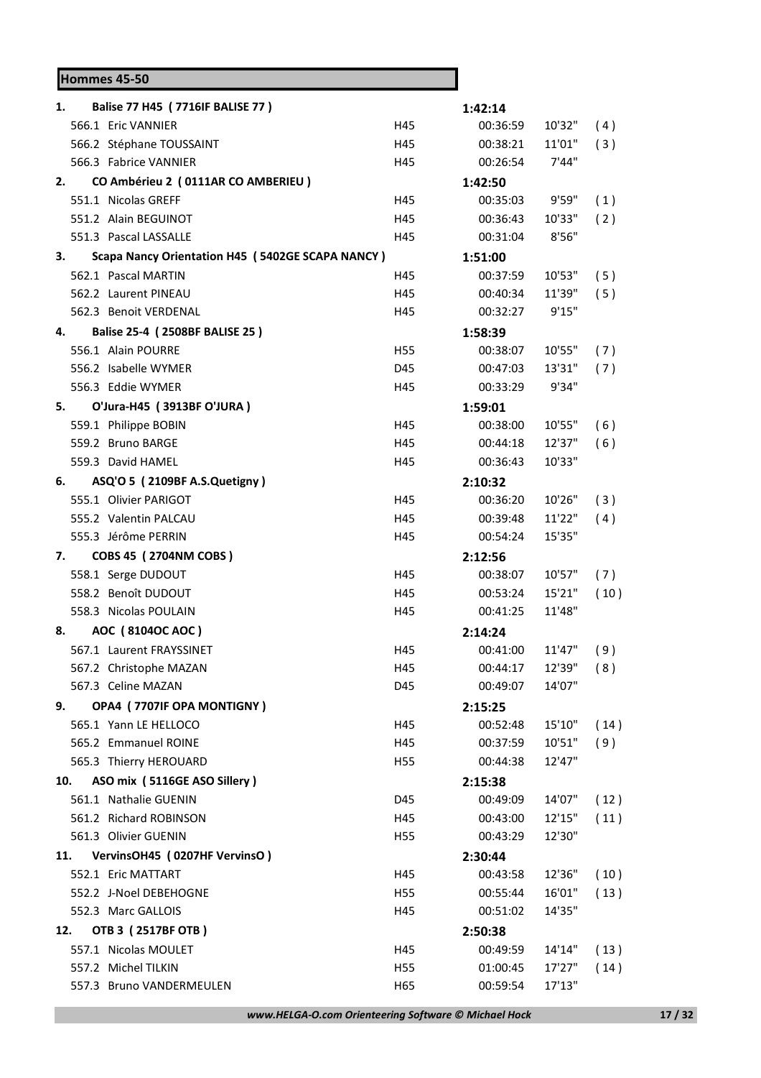#### **Hommes 45-50 1. Balise 77 H45 ( 7716IF BALISE 77 ) 1:42:14** 566.1 Eric VANNIER H45 00:36:59 10'32" ( 4 ) 566.2 Stéphane TOUSSAINT H45 00:38:21 11'01" ( 3 ) 566.3 Fabrice VANNIER H45 00:26:54 7'44" **2. CO Ambérieu 2 ( 0111AR CO AMBERIEU ) 1:42:50** 551.1 Nicolas GREFF H45 00:35:03 9'59" ( 1 ) 551.2 Alain BEGUINOT H45 00:36:43 10'33" ( 2 ) 551.3 Pascal LASSALLE H45 00:31:04 8'56" **3. Scapa Nancy Orientation H45 ( 5402GE SCAPA NANCY ) 1:51:00** 562.1 Pascal MARTIN H45 00:37:59 10'53" ( 5 ) 562.2 Laurent PINEAU H45 00:40:34 11'39" ( 5 ) 562.3 Benoit VERDENAL H45 00:32:27 9'15" **4. Balise 25-4 ( 2508BF BALISE 25 ) 1:58:39** 556.1 Alain POURRE H55 00:38:07 10'55" ( 7 ) 556.2 Isabelle WYMER D45 00:47:03 13'31" ( 7 ) 556.3 Eddie WYMER H45 00:33:29 9'34" **5. O'Jura-H45 ( 3913BF O'JURA ) 1:59:01** 559.1 Philippe BOBIN H45 00:38:00 10'55" ( 6 ) 559.2 Bruno BARGE H45 00:44:18 12'37" ( 6 ) 559.3 David HAMEL H45 00:36:43 10'33" **6. ASQ'O 5 ( 2109BF A.S.Quetigny ) 2:10:32** 555.1 Olivier PARIGOT H45 00:36:20 10'26" ( 3 ) 555.2 Valentin PALCAU H45 00:39:48 11'22" ( 4 ) 555.3 Jérôme PERRIN H45 00:54:24 15'35" **7. COBS 45 ( 2704NM COBS ) 2:12:56** 558.1 Serge DUDOUT H45 00:38:07 10'57" ( 7 ) 558.2 Benoît DUDOUT H45 00:53:24 15'21" ( 10 ) 558.3 Nicolas POULAIN H45 00:41:25 11'48" **8. AOC ( 8104OC AOC ) 2:14:24** 567.1 Laurent FRAYSSINET H45 00:41:00 11'47" ( 9 ) 567.2 Christophe MAZAN H45 00:44:17 12'39" ( 8 ) 567.3 Celine MAZAN D45 00:49:07 14'07" **9. OPA4 ( 7707IF OPA MONTIGNY ) 2:15:25** 565.1 Yann LE HELLOCO H45 00:52:48 15'10" ( 14 ) 565.2 Emmanuel ROINE H45 00:37:59 10'51" ( 9 ) 565.3 Thierry HEROUARD H55 00:44:38 12'47" **10. ASO mix ( 5116GE ASO Sillery ) 2:15:38** 561.1 Nathalie GUENIN D45 00:49:09 14'07" ( 12 ) 561.2 Richard ROBINSON H45 00:43:00 12'15" ( 11 ) 561.3 Olivier GUENIN H55 00:43:29 12'30" **11. VervinsOH45 ( 0207HF VervinsO ) 2:30:44** 552.1 Eric MATTART H45 00:43:58 12'36" ( 10 ) 552.2 J-Noel DEBEHOGNE H55 00:55:44 16'01" ( 13 ) 552.3 Marc GALLOIS H45 00:51:02 14'35" **12. OTB 3 ( 2517BF OTB ) 2:50:38** 557.1 Nicolas MOULET H45 00:49:59 14'14" ( 13 ) 557.2 Michel TILKIN H55 01:00:45 17'27" ( 14 )

*www.HELGA-O.com Orienteering Software © Michael Hock* **17 / 32**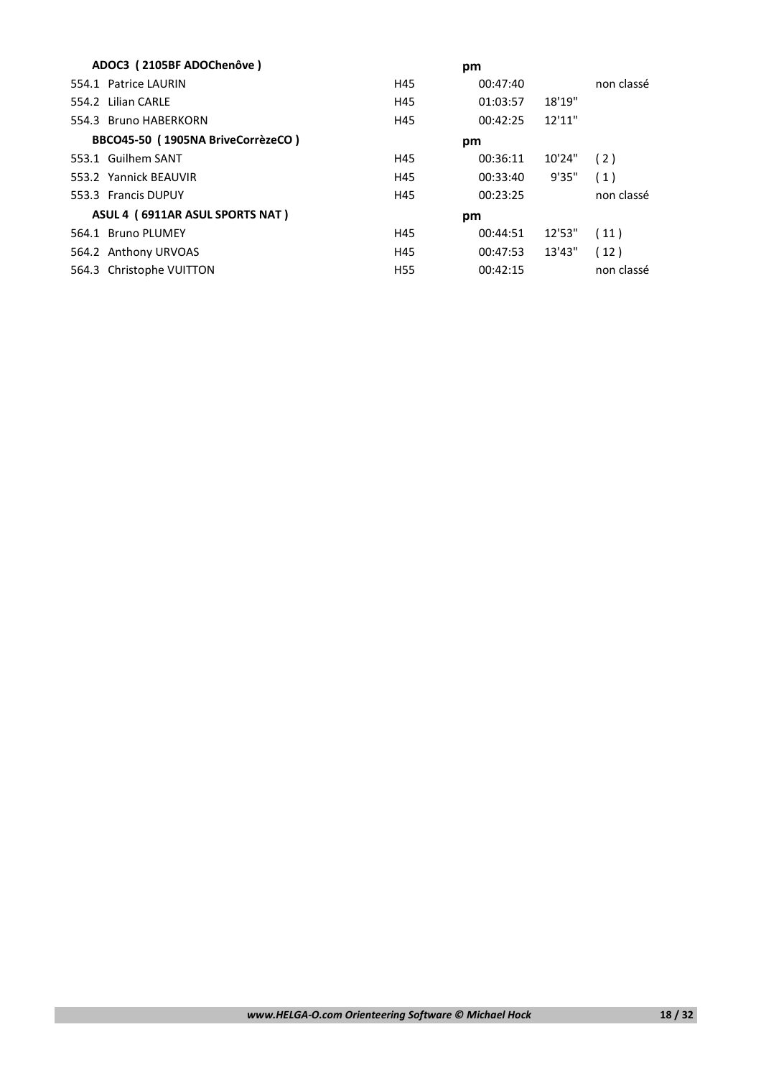| ADOC3 (2105BF ADOChenôve)         |                 | pm       |        |            |
|-----------------------------------|-----------------|----------|--------|------------|
| 554.1 Patrice LAURIN              | H45             | 00:47:40 |        | non classé |
| 554.2 Lilian CARLE                | H45             | 01:03:57 | 18'19" |            |
| 554.3 Bruno HABERKORN             | H45             | 00:42:25 | 12'11" |            |
| BBCO45-50 (1905NA BriveCorrèzeCO) |                 | pm       |        |            |
| 553.1 Guilhem SANT                | H45             | 00:36:11 | 10'24" | (2)        |
| 553.2 Yannick BEAUVIR             | H45             | 00:33:40 | 9'35"  | (1)        |
| 553.3 Francis DUPUY               | H45             | 00:23:25 |        | non classé |
| ASUL 4 (6911AR ASUL SPORTS NAT)   |                 | pm       |        |            |
| 564.1 Bruno PLUMEY                | H45             | 00:44:51 | 12'53" | (11)       |
| 564.2 Anthony URVOAS              | H45             | 00:47:53 | 13'43" | (12)       |
| 564.3 Christophe VUITTON          | H <sub>55</sub> | 00:42:15 |        | non classé |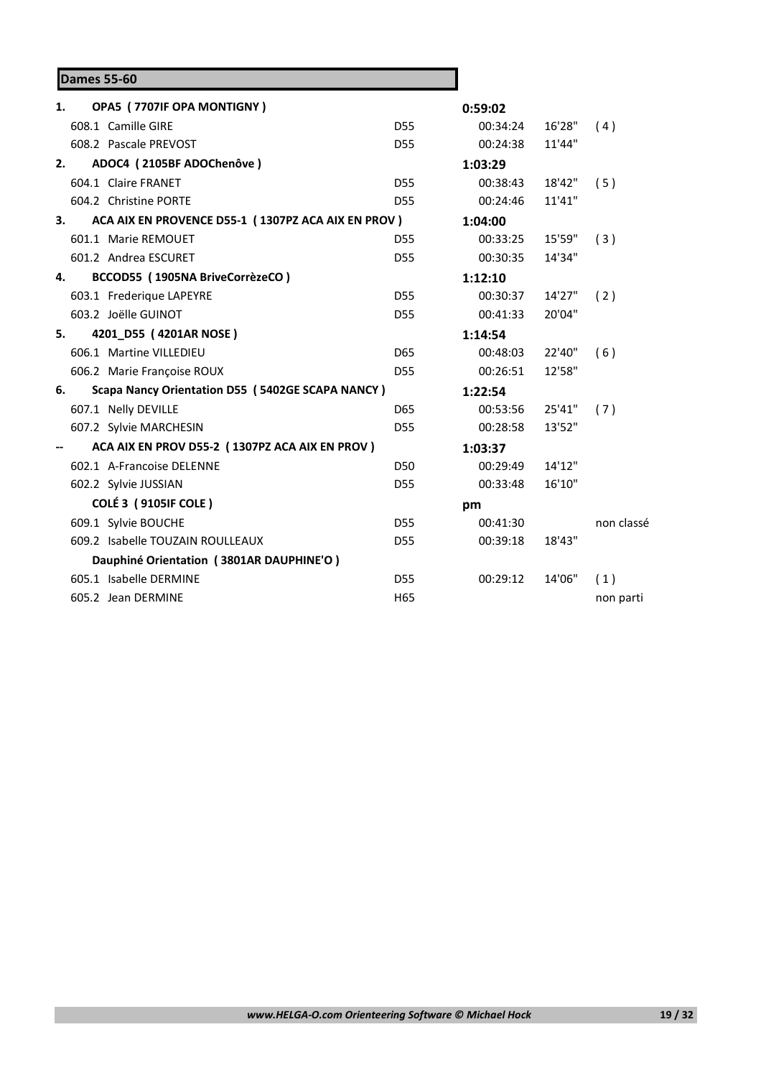|    | <b>Dames 55-60</b>                                 |                 |          |        |            |
|----|----------------------------------------------------|-----------------|----------|--------|------------|
| 1. | OPA5 (7707IF OPA MONTIGNY)                         |                 | 0:59:02  |        |            |
|    | 608.1 Camille GIRE                                 | D <sub>55</sub> | 00:34:24 | 16'28" | (4)        |
|    | 608.2 Pascale PREVOST                              | D <sub>55</sub> | 00:24:38 | 11'44" |            |
| 2. | ADOC4 (2105BF ADOChenôve)                          |                 | 1:03:29  |        |            |
|    | 604.1 Claire FRANET                                | D <sub>55</sub> | 00:38:43 | 18'42" | (5)        |
|    | 604.2 Christine PORTE                              | D <sub>55</sub> | 00:24:46 | 11'41" |            |
| 3. | ACA AIX EN PROVENCE D55-1 (1307PZ ACA AIX EN PROV) |                 | 1:04:00  |        |            |
|    | 601.1 Marie REMOUET                                | D <sub>55</sub> | 00:33:25 | 15'59" | (3)        |
|    | 601.2 Andrea ESCURET                               | D55             | 00:30:35 | 14'34" |            |
| 4. | BCCOD55 (1905NA BriveCorrèzeCO)                    |                 | 1:12:10  |        |            |
|    | 603.1 Frederique LAPEYRE                           | D <sub>55</sub> | 00:30:37 | 14'27" | (2)        |
|    | 603.2 Joëlle GUINOT                                | D <sub>55</sub> | 00:41:33 | 20'04" |            |
| 5. | 4201_D55 (4201AR NOSE)                             |                 | 1:14:54  |        |            |
|    | 606.1 Martine VILLEDIEU                            | D65             | 00:48:03 | 22'40" | (6)        |
|    | 606.2 Marie Françoise ROUX                         | D55             | 00:26:51 | 12'58" |            |
| 6. | Scapa Nancy Orientation D55 (5402GE SCAPA NANCY)   |                 | 1:22:54  |        |            |
|    | 607.1 Nelly DEVILLE                                | D65             | 00:53:56 | 25'41" | (7)        |
|    | 607.2 Sylvie MARCHESIN                             | D55             | 00:28:58 | 13'52" |            |
|    | ACA AIX EN PROV D55-2 (1307PZ ACA AIX EN PROV)     |                 | 1:03:37  |        |            |
|    | 602.1 A-Francoise DELENNE                          | <b>D50</b>      | 00:29:49 | 14'12" |            |
|    | 602.2 Sylvie JUSSIAN                               | D <sub>55</sub> | 00:33:48 | 16'10" |            |
|    | COLÉ 3 (9105IF COLE)                               |                 | pm       |        |            |
|    | 609.1 Sylvie BOUCHE                                | D <sub>55</sub> | 00:41:30 |        | non classé |
|    | 609.2 Isabelle TOUZAIN ROULLEAUX                   | D55             | 00:39:18 | 18'43" |            |
|    | Dauphiné Orientation (3801AR DAUPHINE'O)           |                 |          |        |            |
|    | 605.1 Isabelle DERMINE                             | D <sub>55</sub> | 00:29:12 | 14'06" | (1)        |
|    | 605.2 Jean DERMINE                                 | H <sub>65</sub> |          |        | non parti  |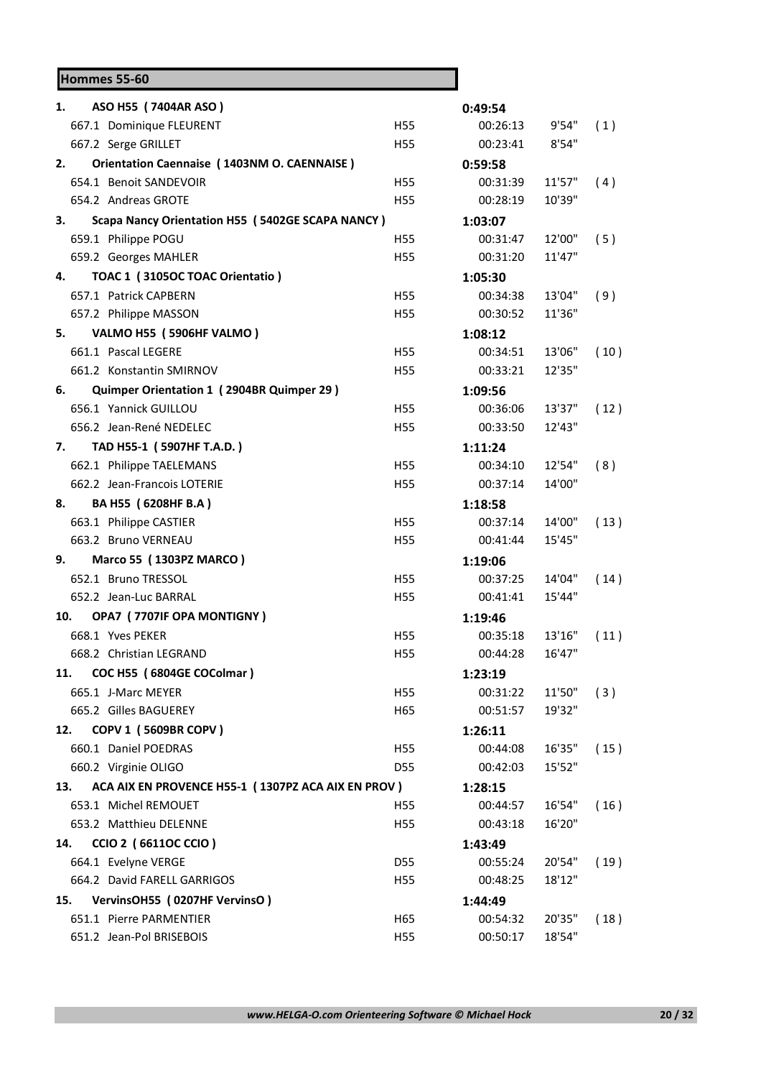# **Hommes 55-60**

| 1.  | ASO H55 (7404AR ASO)                               |                 | 0:49:54  |        |      |
|-----|----------------------------------------------------|-----------------|----------|--------|------|
|     | 667.1 Dominique FLEURENT                           | H55             | 00:26:13 | 9'54"  | (1)  |
|     | 667.2 Serge GRILLET                                | H <sub>55</sub> | 00:23:41 | 8'54"  |      |
| 2.  | <b>Orientation Caennaise (1403NM O. CAENNAISE)</b> |                 | 0:59:58  |        |      |
|     | 654.1 Benoit SANDEVOIR                             | H55             | 00:31:39 | 11'57" | (4)  |
|     | 654.2 Andreas GROTE                                | H <sub>55</sub> | 00:28:19 | 10'39" |      |
| З.  | Scapa Nancy Orientation H55 (5402GE SCAPA NANCY)   |                 | 1:03:07  |        |      |
|     | 659.1 Philippe POGU                                | H <sub>55</sub> | 00:31:47 | 12'00" | (5)  |
|     | 659.2 Georges MAHLER                               | H <sub>55</sub> | 00:31:20 | 11'47" |      |
| 4.  | TOAC 1 (3105OC TOAC Orientatio)                    |                 | 1:05:30  |        |      |
|     | 657.1 Patrick CAPBERN                              | H55             | 00:34:38 | 13'04" | (9)  |
|     | 657.2 Philippe MASSON                              | H <sub>55</sub> | 00:30:52 | 11'36" |      |
| 5.  | VALMO H55 (5906HF VALMO)                           |                 | 1:08:12  |        |      |
|     | 661.1 Pascal LEGERE                                | H55             | 00:34:51 | 13'06" | (10) |
|     | 661.2 Konstantin SMIRNOV                           | H55             | 00:33:21 | 12'35" |      |
| 6.  | Quimper Orientation 1 (2904BR Quimper 29)          |                 | 1:09:56  |        |      |
|     | 656.1 Yannick GUILLOU                              | H <sub>55</sub> | 00:36:06 | 13'37" | (12) |
|     | 656.2 Jean-René NEDELEC                            | H <sub>55</sub> | 00:33:50 | 12'43" |      |
| 7.  | TAD H55-1 (5907HF T.A.D.)                          |                 | 1:11:24  |        |      |
|     | 662.1 Philippe TAELEMANS                           | H <sub>55</sub> | 00:34:10 | 12'54" | (8)  |
|     | 662.2 Jean-Francois LOTERIE                        | H55             | 00:37:14 | 14'00" |      |
| 8.  | BA H55 (6208HF B.A)                                |                 | 1:18:58  |        |      |
|     | 663.1 Philippe CASTIER                             | H <sub>55</sub> | 00:37:14 | 14'00" | (13) |
|     | 663.2 Bruno VERNEAU                                | H <sub>55</sub> | 00:41:44 | 15'45" |      |
| 9.  | Marco 55 (1303PZ MARCO)                            |                 | 1:19:06  |        |      |
|     | 652.1 Bruno TRESSOL                                | H <sub>55</sub> | 00:37:25 | 14'04" | (14) |
|     | 652.2 Jean-Luc BARRAL                              | H <sub>55</sub> | 00:41:41 | 15'44" |      |
| 10. | OPA7 (7707IF OPA MONTIGNY)                         |                 | 1:19:46  |        |      |
|     | 668.1 Yves PEKER                                   | H <sub>55</sub> | 00:35:18 | 13'16" | (11) |
|     | 668.2 Christian LEGRAND                            | H55             | 00:44:28 | 16'47" |      |
|     | 11. COC H55 (6804GE COColmar)                      |                 | 1:23:19  |        |      |
|     | 665.1 J-Marc MEYER                                 | H <sub>55</sub> | 00:31:22 | 11'50" | (3)  |
|     | 665.2 Gilles BAGUEREY                              | H65             | 00:51:57 | 19'32" |      |
| 12. | COPV 1 (5609BR COPV)                               |                 | 1:26:11  |        |      |
|     | 660.1 Daniel POEDRAS                               | H55             | 00:44:08 | 16'35" | (15) |
|     | 660.2 Virginie OLIGO                               | D55             | 00:42:03 | 15'52" |      |
| 13. | ACA AIX EN PROVENCE H55-1 (1307PZ ACA AIX EN PROV) |                 | 1:28:15  |        |      |
|     | 653.1 Michel REMOUET                               | H55             | 00:44:57 | 16'54" | (16) |
|     | 653.2 Matthieu DELENNE                             | H55             | 00:43:18 | 16'20" |      |
| 14. | CCIO 2 (6611OC CCIO)                               |                 | 1:43:49  |        |      |
|     | 664.1 Evelyne VERGE                                | D55             | 00:55:24 | 20'54" | (19) |
|     | 664.2 David FARELL GARRIGOS                        | H55             | 00:48:25 | 18'12" |      |
| 15. | VervinsOH55 (0207HF VervinsO)                      |                 | 1:44:49  |        |      |
|     | 651.1 Pierre PARMENTIER                            | H65             | 00:54:32 | 20'35" | (18) |
|     | 651.2 Jean-Pol BRISEBOIS                           | H55             | 00:50:17 | 18'54" |      |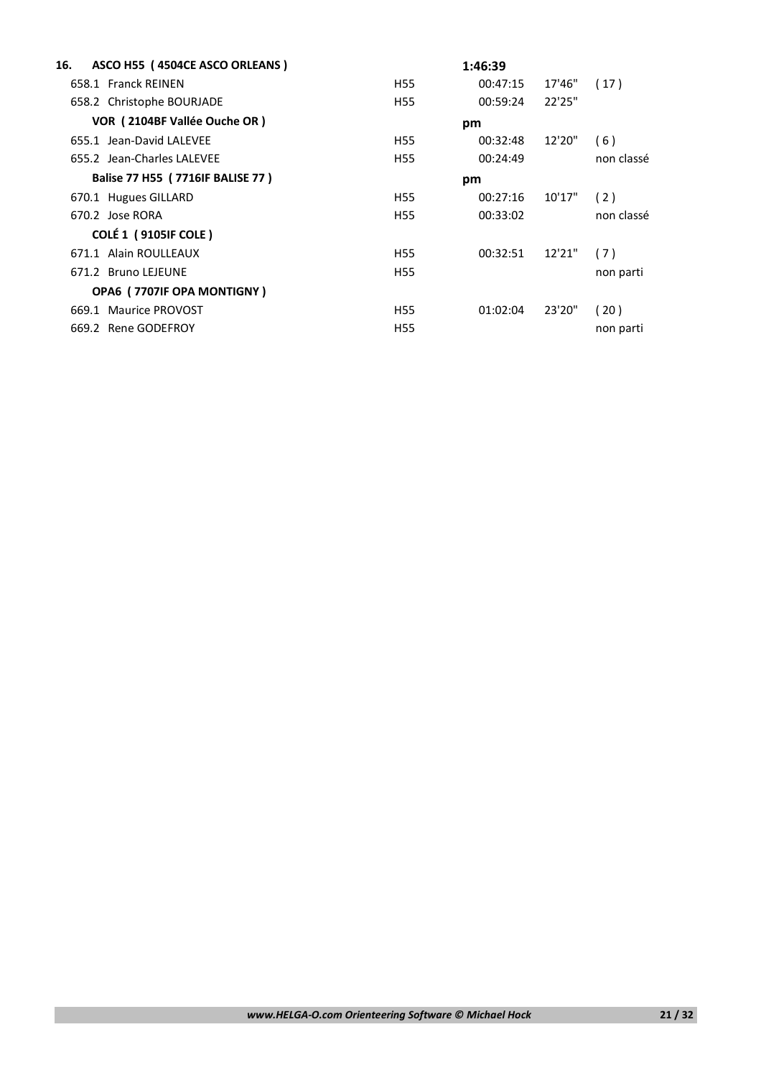| 16. | ASCO H55 (4504CE ASCO ORLEANS)   |                 | 1:46:39  |         |            |
|-----|----------------------------------|-----------------|----------|---------|------------|
|     | 658.1 Franck REINEN              | H55             | 00:47:15 | 17'46"  | (17)       |
|     | 658.2 Christophe BOURJADE        | H55             | 00:59:24 | 22'25"  |            |
|     | VOR (2104BF Vallée Ouche OR)     |                 | pm       |         |            |
|     | 655.1 Jean-David LALEVEE         | H55             | 00:32:48 | 12'20"  | (6)        |
|     | 655.2 Jean-Charles LALEVEE       | H55             | 00:24:49 |         | non classé |
|     | Balise 77 H55 (7716IF BALISE 77) |                 | pm       |         |            |
|     | 670.1 Hugues GILLARD             | H55             | 00:27:16 | 10'17"  | (2)        |
|     | 670.2 Jose RORA                  | H55             | 00:33:02 |         | non classé |
|     | <b>COLÉ 1 (9105IF COLE)</b>      |                 |          |         |            |
|     | 671.1 Alain ROULLEAUX            | H <sub>55</sub> | 00:32:51 | 12'21'' | (7)        |
|     | 671.2 Bruno LEJEUNE              | H55             |          |         | non parti  |
|     | OPA6 (7707IF OPA MONTIGNY)       |                 |          |         |            |
|     | 669.1 Maurice PROVOST            | H55             | 01:02:04 | 23'20"  | (20)       |
|     | 669.2 Rene GODEFROY              | H <sub>55</sub> |          |         | non parti  |
|     |                                  |                 |          |         |            |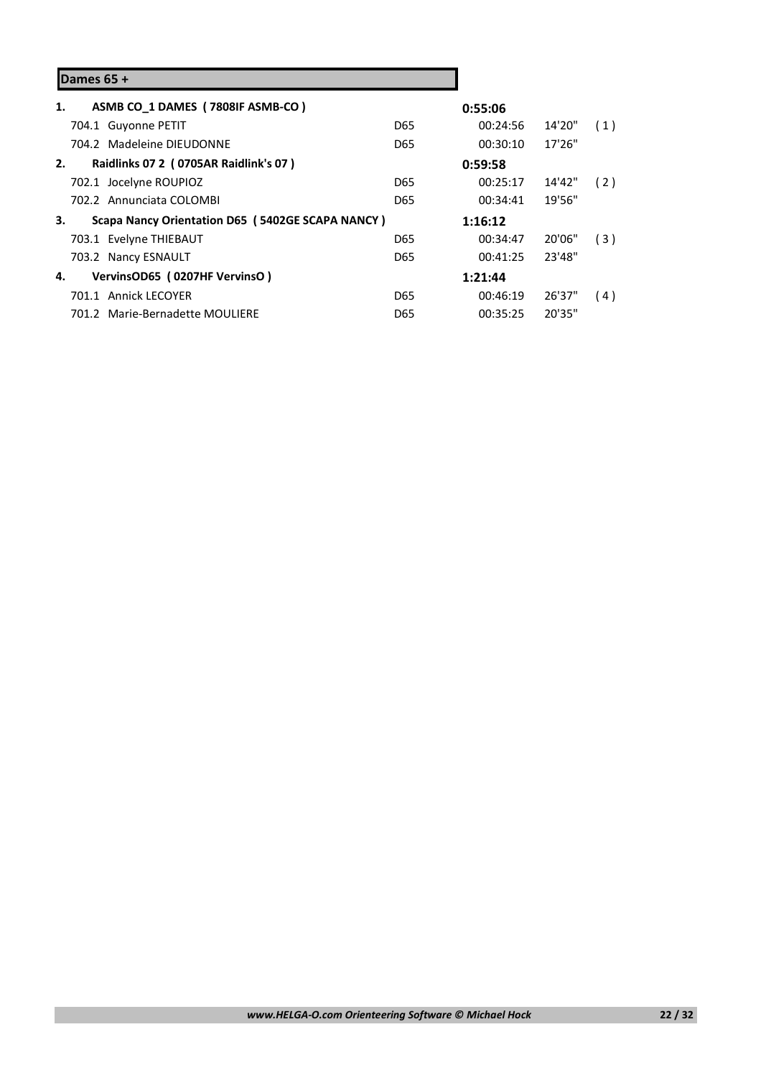# **Dames 65 +**

| 1. | ASMB CO 1 DAMES (7808IF ASMB-CO)                 |                 | 0:55:06  |        |     |
|----|--------------------------------------------------|-----------------|----------|--------|-----|
|    | 704.1 Guyonne PETIT                              | D65             | 00:24:56 | 14'20" | (1) |
|    | 704.2 Madeleine DIFUDONNE                        | D65             | 00:30:10 | 17'26" |     |
| 2. | Raidlinks 07 2 (0705AR Raidlink's 07)            |                 | 0:59:58  |        |     |
|    | 702.1 Jocelyne ROUPIOZ                           | D65             | 00:25:17 | 14'42" | (2) |
|    | 702.2 Annunciata COLOMBI                         | D65             | 00:34:41 | 19'56" |     |
| 3. | Scapa Nancy Orientation D65 (5402GE SCAPA NANCY) |                 | 1:16:12  |        |     |
|    | 703.1 Evelyne THIEBAUT                           | D <sub>65</sub> | 00:34:47 | 20'06" | (3) |
|    | 703.2 Nancy ESNAULT                              | D65             | 00:41:25 | 23'48" |     |
| 4. | VervinsOD65 (0207HF VervinsO)                    |                 | 1:21:44  |        |     |
|    | 701.1 Annick LECOYER                             | D65             | 00:46:19 | 26'37" | (4) |
|    | 701.2 Marie-Bernadette MOULIERE                  | D65             | 00:35:25 | 20'35" |     |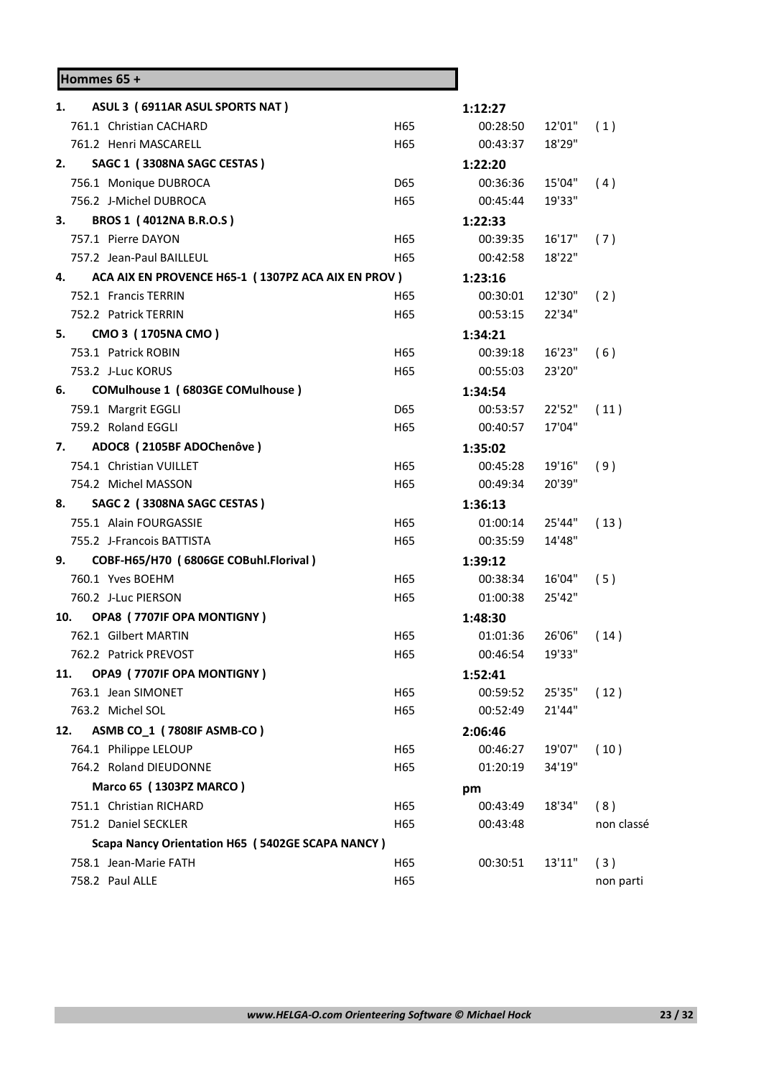| Hommes 65 +                                              |     |          |        |            |
|----------------------------------------------------------|-----|----------|--------|------------|
| 1.<br>ASUL 3 (6911AR ASUL SPORTS NAT)                    |     | 1:12:27  |        |            |
| 761.1 Christian CACHARD                                  | H65 | 00:28:50 | 12'01" | (1)        |
| 761.2 Henri MASCARELL                                    | H65 | 00:43:37 | 18'29" |            |
| SAGC 1 (3308NA SAGC CESTAS)<br>2.                        |     | 1:22:20  |        |            |
| 756.1 Monique DUBROCA                                    | D65 | 00:36:36 | 15'04" | (4)        |
| 756.2 J-Michel DUBROCA                                   | H65 | 00:45:44 | 19'33" |            |
| 3.<br>BROS 1 (4012NA B.R.O.S)                            |     | 1:22:33  |        |            |
| 757.1 Pierre DAYON                                       | H65 | 00:39:35 | 16'17" | (7)        |
| 757.2 Jean-Paul BAILLEUL                                 | H65 | 00:42:58 | 18'22" |            |
| 4.<br>ACA AIX EN PROVENCE H65-1 (1307PZ ACA AIX EN PROV) |     | 1:23:16  |        |            |
| 752.1 Francis TERRIN                                     | H65 | 00:30:01 | 12'30" | (2)        |
| 752.2 Patrick TERRIN                                     | H65 | 00:53:15 | 22'34" |            |
| 5.<br>CMO 3 (1705NA CMO)                                 |     | 1:34:21  |        |            |
| 753.1 Patrick ROBIN                                      | H65 | 00:39:18 | 16'23" | (6)        |
| 753.2 J-Luc KORUS                                        | H65 | 00:55:03 | 23'20" |            |
| COMulhouse 1 (6803GE COMulhouse)<br>6.                   |     | 1:34:54  |        |            |
| 759.1 Margrit EGGLI                                      | D65 | 00:53:57 | 22'52" | (11)       |
| 759.2 Roland EGGLI                                       | H65 | 00:40:57 | 17'04" |            |
| ADOC8 (2105BF ADOChenôve)<br>7.                          |     | 1:35:02  |        |            |
| 754.1 Christian VUILLET                                  | H65 | 00:45:28 | 19'16" | (9)        |
| 754.2 Michel MASSON                                      | H65 | 00:49:34 | 20'39" |            |
| SAGC 2 (3308NA SAGC CESTAS)<br>8.                        |     | 1:36:13  |        |            |
| 755.1 Alain FOURGASSIE                                   | H65 | 01:00:14 | 25'44" | (13)       |
| 755.2 J-Francois BATTISTA                                | H65 | 00:35:59 | 14'48" |            |
| 9.<br>COBF-H65/H70 (6806GE COBuhl.Florival)              |     | 1:39:12  |        |            |
| 760.1 Yves BOEHM                                         | H65 | 00:38:34 | 16'04" | (5)        |
| 760.2 J-Luc PIERSON                                      | H65 | 01:00:38 | 25'42" |            |
| 10.<br>OPA8 (7707IF OPA MONTIGNY)                        |     | 1:48:30  |        |            |
| 762.1 Gilbert MARTIN                                     | H65 | 01:01:36 | 26'06" | (14)       |
| 762.2 Patrick PREVOST                                    | H65 | 00:46:54 | 19'33" |            |
| OPA9 (7707IF OPA MONTIGNY)<br>11.                        |     | 1:52:41  |        |            |
| 763.1 Jean SIMONET                                       | H65 | 00:59:52 | 25'35" | (12)       |
| 763.2 Michel SOL                                         | H65 | 00:52:49 | 21'44" |            |
| ASMB CO_1 (7808IF ASMB-CO)<br>12.                        |     | 2:06:46  |        |            |
| 764.1 Philippe LELOUP                                    | H65 | 00:46:27 | 19'07" | (10)       |
| 764.2 Roland DIEUDONNE                                   | H65 | 01:20:19 | 34'19" |            |
| Marco 65 (1303PZ MARCO)                                  |     | pm       |        |            |
| 751.1 Christian RICHARD                                  | H65 | 00:43:49 | 18'34" | (8)        |
| 751.2 Daniel SECKLER                                     | H65 | 00:43:48 |        | non classé |
| Scapa Nancy Orientation H65 (5402GE SCAPA NANCY)         |     |          |        |            |
| 758.1 Jean-Marie FATH                                    | H65 | 00:30:51 | 13'11" | (3)        |
| 758.2 Paul ALLE                                          | H65 |          |        | non parti  |

 $\overline{\phantom{0}}$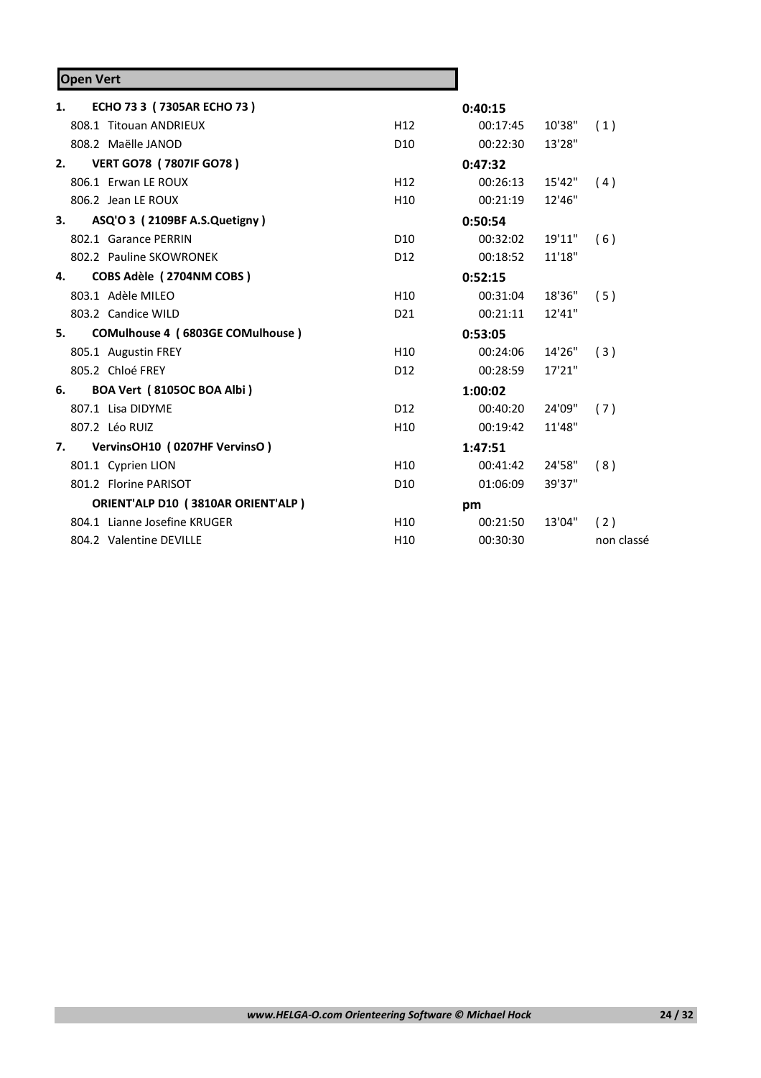| <b>Open Vert</b>                       |                 |          |        |            |
|----------------------------------------|-----------------|----------|--------|------------|
| ECHO 73 3 (7305AR ECHO 73)<br>1.       |                 | 0:40:15  |        |            |
| 808.1 Titouan ANDRIEUX                 | H <sub>12</sub> | 00:17:45 | 10'38" | (1)        |
| 808.2 Maëlle JANOD                     | D <sub>10</sub> | 00:22:30 | 13'28" |            |
| <b>VERT GO78 (7807IF GO78)</b><br>2.   |                 | 0:47:32  |        |            |
| 806.1 Erwan LE ROUX                    | H <sub>12</sub> | 00:26:13 | 15'42" | (4)        |
| 806.2 Jean LE ROUX                     | H <sub>10</sub> | 00:21:19 | 12'46" |            |
| ASQ'O 3 (2109BF A.S.Quetigny)<br>3.    |                 | 0:50:54  |        |            |
| 802.1 Garance PERRIN                   | D <sub>10</sub> | 00:32:02 | 19'11" | (6)        |
| 802.2 Pauline SKOWRONEK                | D <sub>12</sub> | 00:18:52 | 11'18" |            |
| COBS Adèle (2704NM COBS)<br>4.         |                 | 0:52:15  |        |            |
| 803.1 Adèle MILEO                      | H <sub>10</sub> | 00:31:04 | 18'36" | (5)        |
| 803.2 Candice WILD                     | D <sub>21</sub> | 00:21:11 | 12'41" |            |
| COMulhouse 4 (6803GE COMulhouse)<br>5. |                 | 0:53:05  |        |            |
| 805.1 Augustin FREY                    | H <sub>10</sub> | 00:24:06 | 14'26" | (3)        |
| 805.2 Chloé FREY                       | D <sub>12</sub> | 00:28:59 | 17'21" |            |
| BOA Vert (8105OC BOA Albi)<br>6.       |                 | 1:00:02  |        |            |
| 807.1 Lisa DIDYME                      | D <sub>12</sub> | 00:40:20 | 24'09" | (7)        |
| 807.2 Léo RUIZ                         | H <sub>10</sub> | 00:19:42 | 11'48" |            |
| 7. VervinsOH10 (0207HF VervinsO)       |                 | 1:47:51  |        |            |
| 801.1 Cyprien LION                     | H <sub>10</sub> | 00:41:42 | 24'58" | (8)        |
| 801.2 Florine PARISOT                  | D <sub>10</sub> | 01:06:09 | 39'37" |            |
| ORIENT'ALP D10 (3810AR ORIENT'ALP)     |                 | pm       |        |            |
| 804.1 Lianne Josefine KRUGER           | H10             | 00:21:50 | 13'04" | (2)        |
| 804.2 Valentine DEVILLE                | H <sub>10</sub> | 00:30:30 |        | non classé |

Ŧ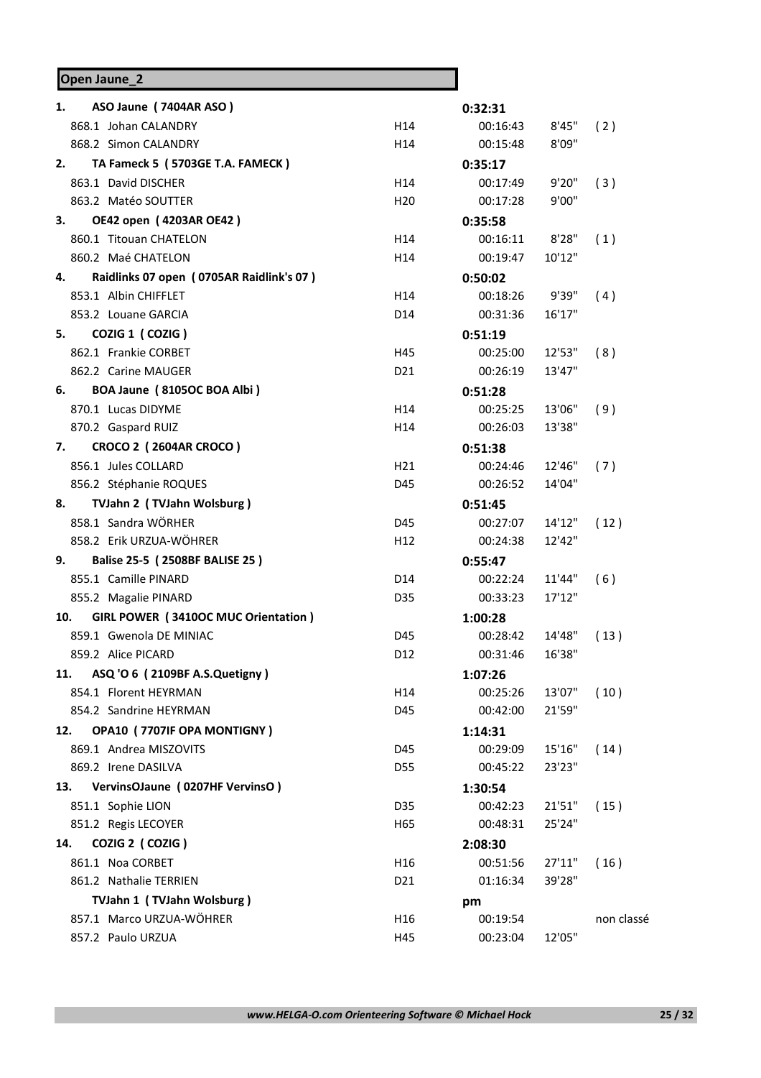| Open Jaune_2                                   |                 |          |        |            |
|------------------------------------------------|-----------------|----------|--------|------------|
| ASO Jaune (7404AR ASO)<br>1.                   |                 | 0:32:31  |        |            |
| 868.1 Johan CALANDRY                           | H14             | 00:16:43 | 8'45"  | (2)        |
| 868.2 Simon CALANDRY                           | H14             | 00:15:48 | 8'09"  |            |
| TA Fameck 5 (5703GE T.A. FAMECK)<br>2.         |                 | 0:35:17  |        |            |
| 863.1 David DISCHER                            | H14             | 00:17:49 | 9'20"  | (3)        |
| 863.2 Matéo SOUTTER                            | H <sub>20</sub> | 00:17:28 | 9'00"  |            |
| 3.<br>OE42 open (4203AR OE42)                  |                 | 0:35:58  |        |            |
| 860.1 Titouan CHATELON                         | H14             | 00:16:11 | 8'28"  | (1)        |
| 860.2 Maé CHATELON                             | H14             | 00:19:47 | 10'12" |            |
| Raidlinks 07 open (0705AR Raidlink's 07)<br>4. |                 | 0:50:02  |        |            |
| 853.1 Albin CHIFFLET                           | H14             | 00:18:26 | 9'39"  | (4)        |
| 853.2 Louane GARCIA                            | D14             | 00:31:36 | 16'17" |            |
| COZIG 1 (COZIG)<br>5.                          |                 | 0:51:19  |        |            |
| 862.1 Frankie CORBET                           | H45             | 00:25:00 | 12'53" | (8)        |
| 862.2 Carine MAUGER                            | D <sub>21</sub> | 00:26:19 | 13'47" |            |
| BOA Jaune (8105OC BOA Albi)<br>6.              |                 | 0:51:28  |        |            |
| 870.1 Lucas DIDYME                             | H14             | 00:25:25 | 13'06" | (9)        |
| 870.2 Gaspard RUIZ                             | H14             | 00:26:03 | 13'38" |            |
| CROCO 2 (2604AR CROCO)<br>7.                   |                 | 0:51:38  |        |            |
| 856.1 Jules COLLARD                            | H <sub>21</sub> | 00:24:46 | 12'46" | (7)        |
| 856.2 Stéphanie ROQUES                         | D45             | 00:26:52 | 14'04" |            |
| TVJahn 2 (TVJahn Wolsburg)<br>8.               |                 | 0:51:45  |        |            |
| 858.1 Sandra WÖRHER                            | D45             | 00:27:07 | 14'12" | (12)       |
| 858.2 Erik URZUA-WÖHRER                        | H <sub>12</sub> | 00:24:38 | 12'42" |            |
| Balise 25-5 (2508BF BALISE 25)<br>9.           |                 | 0:55:47  |        |            |
| 855.1 Camille PINARD                           | D <sub>14</sub> | 00:22:24 | 11'44" | (6)        |
| 855.2 Magalie PINARD                           | D35             | 00:33:23 | 17'12" |            |
| 10.<br>GIRL POWER (3410OC MUC Orientation)     |                 | 1:00:28  |        |            |
| 859.1 Gwenola DE MINIAC                        | D45             | 00:28:42 | 14'48" | (13)       |
| 859.2 Alice PICARD                             | D <sub>12</sub> | 00:31:46 | 16'38" |            |
| ASQ 'O 6 ( 2109BF A.S.Quetigny )<br>11.        |                 | 1:07:26  |        |            |
| 854.1 Florent HEYRMAN                          | H14             | 00:25:26 | 13'07" | (10)       |
| 854.2 Sandrine HEYRMAN                         | D45             | 00:42:00 | 21'59" |            |
| OPA10 (7707IF OPA MONTIGNY)<br>12.             |                 | 1:14:31  |        |            |
| 869.1 Andrea MISZOVITS                         | D45             | 00:29:09 | 15'16" | (14)       |
| 869.2 Irene DASILVA                            | D55             | 00:45:22 | 23'23" |            |
| VervinsOJaune (0207HF VervinsO)<br>13.         |                 | 1:30:54  |        |            |
| 851.1 Sophie LION                              | D35             | 00:42:23 | 21'51" | (15)       |
| 851.2 Regis LECOYER                            | H65             | 00:48:31 | 25'24" |            |
| COZIG 2 (COZIG)<br>14.                         |                 | 2:08:30  |        |            |
| 861.1 Noa CORBET                               | H16             | 00:51:56 | 27'11" | (16)       |
| 861.2 Nathalie TERRIEN                         | D <sub>21</sub> | 01:16:34 | 39'28" |            |
| TVJahn 1 (TVJahn Wolsburg)                     |                 | pm       |        |            |
| 857.1 Marco URZUA-WÖHRER                       | H <sub>16</sub> | 00:19:54 |        | non classé |
| 857.2 Paulo URZUA                              | H45             | 00:23:04 | 12'05" |            |
|                                                |                 |          |        |            |

÷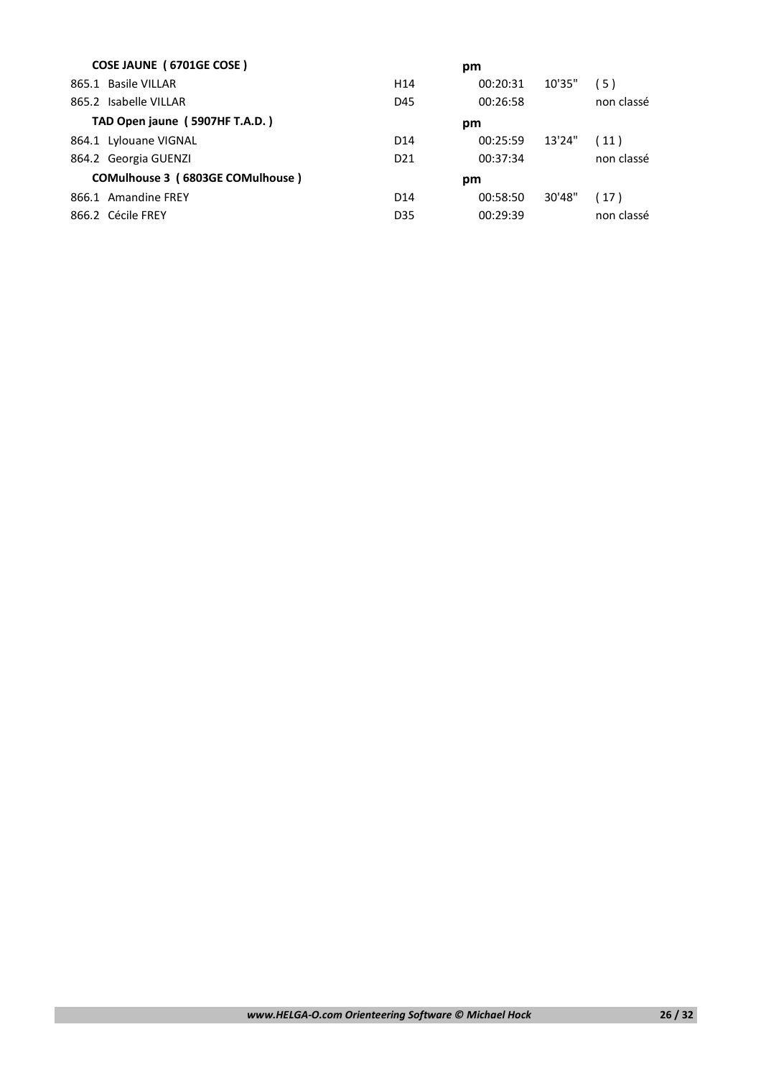| COSE JAUNE (6701GE COSE)         |                 | pm       |        |            |
|----------------------------------|-----------------|----------|--------|------------|
| 865.1 Basile VILLAR              | H <sub>14</sub> | 00:20:31 | 10'35" | (5)        |
| 865.2 Isabelle VILLAR            | D45             | 00:26:58 |        | non classé |
| TAD Open jaune (5907HF T.A.D.)   |                 | pm       |        |            |
| 864.1 Lylouane VIGNAL            | D <sub>14</sub> | 00:25:59 | 13'24" | (11)       |
| 864.2 Georgia GUENZI             | D <sub>21</sub> | 00:37:34 |        | non classé |
| COMulhouse 3 (6803GE COMulhouse) |                 | pm       |        |            |
| 866.1 Amandine FREY              | D <sub>14</sub> | 00:58:50 | 30'48" | (17)       |
| 866.2 Cécile FREY                | D <sub>35</sub> | 00:29:39 |        | non classé |
|                                  |                 |          |        |            |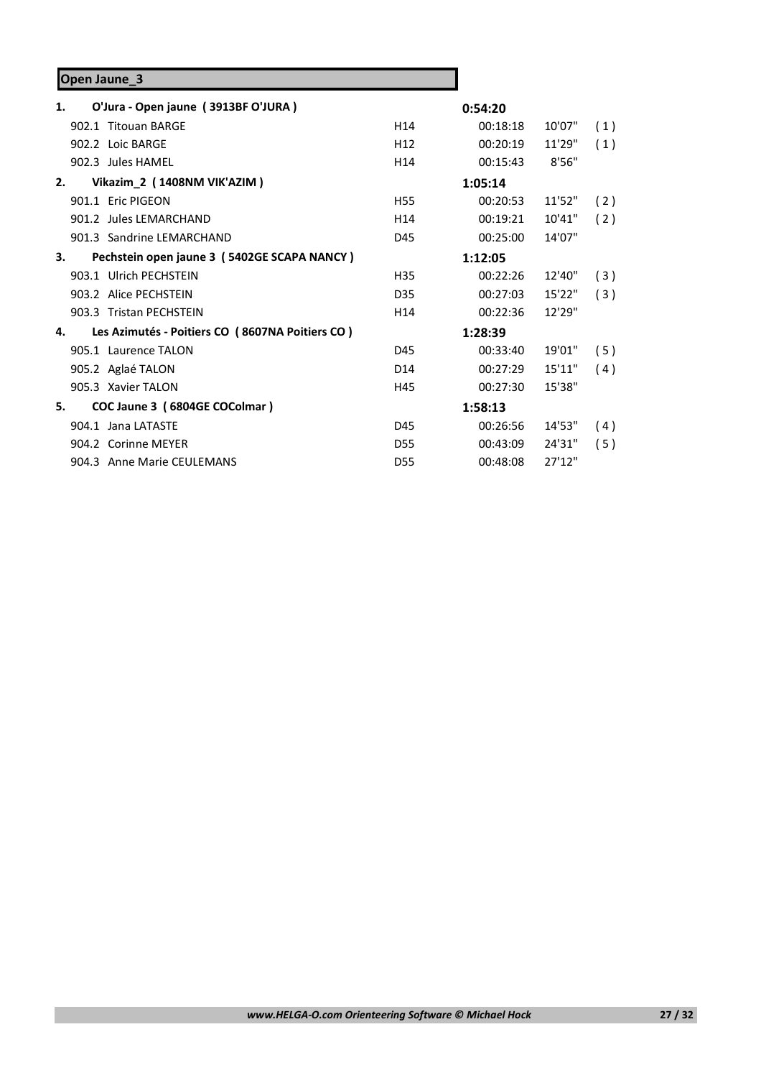# **Open Jaune\_3**

| 1. | O'Jura - Open jaune (3913BF O'JURA)             |                 | 0:54:20  |         |     |
|----|-------------------------------------------------|-----------------|----------|---------|-----|
|    | 902.1 Titouan BARGE                             | H <sub>14</sub> | 00:18:18 | 10'07"  | (1) |
|    | 902.2 Loic BARGE                                | H <sub>12</sub> | 00:20:19 | 11'29"  | (1) |
|    | 902.3 Jules HAMEL                               | H <sub>14</sub> | 00:15:43 | 8'56"   |     |
| 2. | Vikazim_2 (1408NM VIK'AZIM)                     |                 | 1:05:14  |         |     |
|    | 901.1 Eric PIGEON                               | <b>H55</b>      | 00:20:53 | 11'52"  | (2) |
|    | 901.2 Jules LEMARCHAND                          | H <sub>14</sub> | 00:19:21 | 10'41"  | (2) |
|    | 901.3 Sandrine LEMARCHAND                       | D45             | 00:25:00 | 14'07"  |     |
| 3. | Pechstein open jaune 3 (5402GE SCAPA NANCY)     |                 | 1:12:05  |         |     |
|    | 903.1 Ulrich PECHSTEIN                          | H35             | 00:22:26 | 12'40"  | (3) |
|    | 903.2 Alice PECHSTEIN                           | D35             | 00:27:03 | 15'22"  | (3) |
|    | 903.3 Tristan PECHSTEIN                         | H <sub>14</sub> | 00:22:36 | 12'29"  |     |
| 4. | Les Azimutés - Poitiers CO (8607NA Poitiers CO) |                 | 1:28:39  |         |     |
|    | 905.1 Laurence TALON                            | D45             | 00:33:40 | 19'01"  | (5) |
|    | 905.2 Aglaé TALON                               | D <sub>14</sub> | 00:27:29 | 15'11'' | (4) |
|    | 905.3 Xavier TALON                              | H45             | 00:27:30 | 15'38"  |     |
| 5. | COC Jaune 3 (6804GE COColmar)                   |                 | 1:58:13  |         |     |
|    | 904.1 Jana LATASTE                              | D45             | 00:26:56 | 14'53"  | (4) |
|    | 904.2 Corinne MEYER                             | D <sub>55</sub> | 00:43:09 | 24'31"  | (5) |
|    | 904.3 Anne Marie CEULEMANS                      | D55             | 00:48:08 | 27'12"  |     |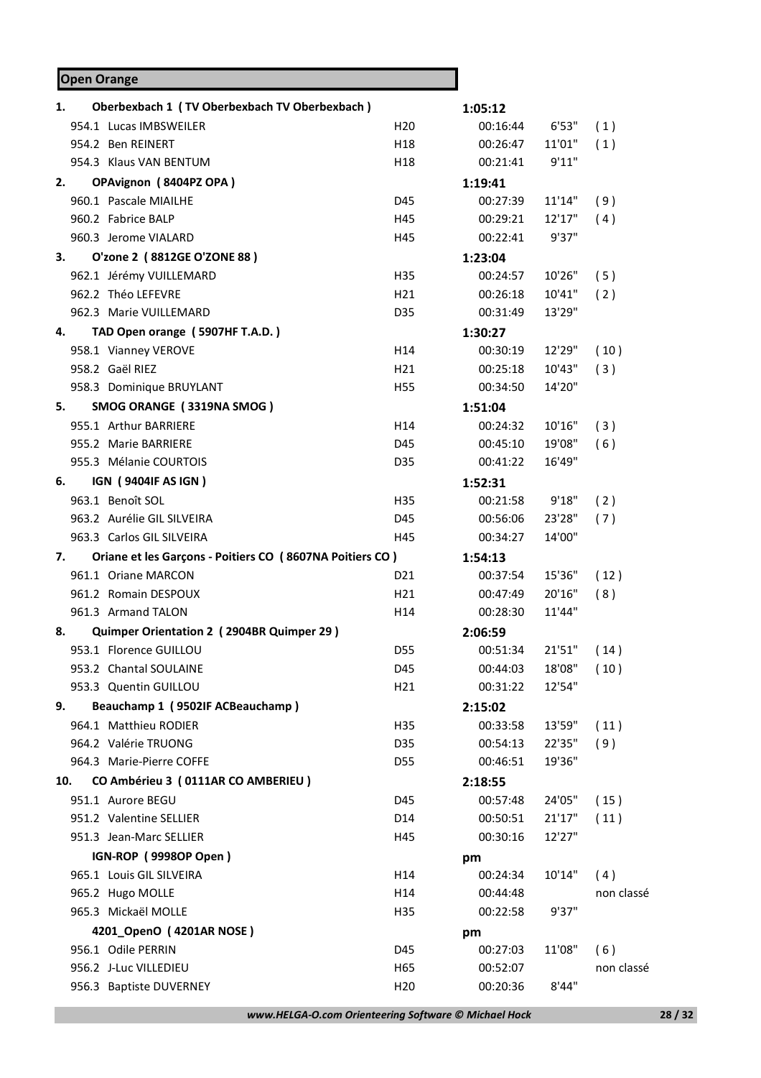# **Open Orange**

| 1.  | Oberbexbach 1 (TV Oberbexbach TV Oberbexbach)            |                 | 1:05:12  |        |            |
|-----|----------------------------------------------------------|-----------------|----------|--------|------------|
|     | 954.1 Lucas IMBSWEILER                                   | H <sub>20</sub> | 00:16:44 | 6'53"  | (1)        |
|     | 954.2 Ben REINERT                                        | H18             | 00:26:47 | 11'01" | (1)        |
|     | 954.3 Klaus VAN BENTUM                                   | H18             | 00:21:41 | 9'11"  |            |
| 2.  | OPAvignon (8404PZ OPA)                                   |                 | 1:19:41  |        |            |
|     | 960.1 Pascale MIAILHE                                    | D45             | 00:27:39 | 11'14" | (9)        |
|     | 960.2 Fabrice BALP                                       | H45             | 00:29:21 | 12'17" | (4)        |
|     | 960.3 Jerome VIALARD                                     | H45             | 00:22:41 | 9'37"  |            |
| З.  | O'zone 2 (8812GE O'ZONE 88)                              |                 | 1:23:04  |        |            |
|     | 962.1 Jérémy VUILLEMARD                                  | H35             | 00:24:57 | 10'26" | (5)        |
|     | 962.2 Théo LEFEVRE                                       | H21             | 00:26:18 | 10'41" | (2)        |
|     | 962.3 Marie VUILLEMARD                                   | D35             | 00:31:49 | 13'29" |            |
| 4.  | TAD Open orange (5907HF T.A.D.)                          |                 | 1:30:27  |        |            |
|     | 958.1 Vianney VEROVE                                     | H14             | 00:30:19 | 12'29" | (10)       |
|     | 958.2 Gaël RIEZ                                          | H21             | 00:25:18 | 10'43" | (3)        |
|     | 958.3 Dominique BRUYLANT                                 | H55             | 00:34:50 | 14'20" |            |
| 5.  | SMOG ORANGE (3319NA SMOG)                                |                 | 1:51:04  |        |            |
|     | 955.1 Arthur BARRIERE                                    | H14             | 00:24:32 | 10'16" | (3)        |
|     | 955.2 Marie BARRIERE                                     | D45             | 00:45:10 | 19'08" | (6)        |
|     | 955.3 Mélanie COURTOIS                                   | D35             | 00:41:22 | 16'49" |            |
| 6.  | IGN (9404IF AS IGN)                                      |                 | 1:52:31  |        |            |
|     | 963.1 Benoît SOL                                         | H35             | 00:21:58 | 9'18"  | (2)        |
|     | 963.2 Aurélie GIL SILVEIRA                               | D45             | 00:56:06 | 23'28" | (7)        |
|     | 963.3 Carlos GIL SILVEIRA                                | H45             | 00:34:27 | 14'00" |            |
|     |                                                          |                 |          |        |            |
| 7.  | Oriane et les Garçons - Poitiers CO (8607NA Poitiers CO) |                 | 1:54:13  |        |            |
|     | 961.1 Oriane MARCON                                      | D <sub>21</sub> | 00:37:54 | 15'36" | (12)       |
|     | 961.2 Romain DESPOUX                                     | H21             | 00:47:49 | 20'16" | (8)        |
|     | 961.3 Armand TALON                                       | H14             | 00:28:30 | 11'44" |            |
| 8.  | Quimper Orientation 2 (2904BR Quimper 29)                |                 | 2:06:59  |        |            |
|     | 953.1 Florence GUILLOU                                   | D55             | 00:51:34 | 21'51" | (14)       |
|     | 953.2 Chantal SOULAINE                                   | D45             | 00:44:03 | 18'08" | (10)       |
|     | 953.3 Quentin GUILLOU                                    | H21             | 00:31:22 | 12'54" |            |
| 9.  | Beauchamp 1 (9502IF ACBeauchamp)                         |                 | 2:15:02  |        |            |
|     | 964.1 Matthieu RODIER                                    | H35             | 00:33:58 | 13'59" | (11)       |
|     | 964.2 Valérie TRUONG                                     | D35             | 00:54:13 | 22'35" | (9)        |
|     | 964.3 Marie-Pierre COFFE                                 | D55             | 00:46:51 | 19'36" |            |
| 10. | CO Ambérieu 3 (0111AR CO AMBERIEU)                       |                 | 2:18:55  |        |            |
|     | 951.1 Aurore BEGU                                        | D45             | 00:57:48 | 24'05" | (15)       |
|     | 951.2 Valentine SELLIER                                  | D14             | 00:50:51 | 21'17" | (11)       |
|     | 951.3 Jean-Marc SELLIER                                  | H45             | 00:30:16 | 12'27" |            |
|     | IGN-ROP (9998OP Open)                                    |                 | pm       |        |            |
|     | 965.1 Louis GIL SILVEIRA                                 | H14             | 00:24:34 | 10'14" | (4)        |
|     | 965.2 Hugo MOLLE                                         | H14             | 00:44:48 |        | non classé |
|     | 965.3 Mickaël MOLLE                                      | H35             | 00:22:58 | 9'37"  |            |
|     | 4201_OpenO (4201AR NOSE)                                 |                 | pm       |        |            |
|     | 956.1 Odile PERRIN                                       | D45             | 00:27:03 | 11'08" | (6)        |
|     | 956.2 J-Luc VILLEDIEU                                    | H65             | 00:52:07 |        | non classé |
|     | 956.3 Baptiste DUVERNEY                                  | H <sub>20</sub> | 00:20:36 | 8'44"  |            |

*www.HELGA-O.com Orienteering Software © Michael Hock* **28 / 32**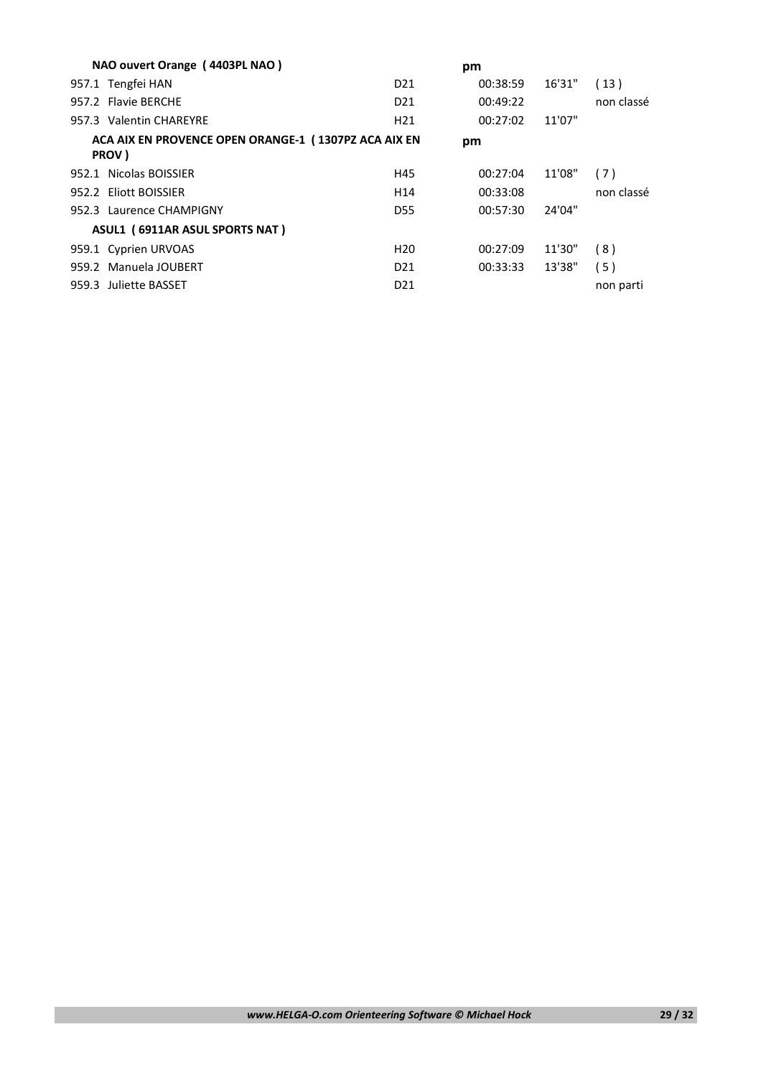|                                | NAO ouvert Orange (4403PL NAO)                                |                 | pm       |        |            |  |
|--------------------------------|---------------------------------------------------------------|-----------------|----------|--------|------------|--|
|                                | 957.1 Tengfei HAN                                             | D <sub>21</sub> | 00:38:59 | 16'31" | (13)       |  |
|                                | 957.2 Flavie BERCHE                                           | D <sub>21</sub> | 00:49:22 |        | non classé |  |
|                                | 957.3 Valentin CHAREYRE                                       | H <sub>21</sub> | 00:27:02 | 11'07" |            |  |
|                                | ACA AIX EN PROVENCE OPEN ORANGE-1 (1307PZ ACA AIX EN<br>PROV) | pm              |          |        |            |  |
|                                | 952.1 Nicolas BOISSIER                                        | H45             | 00:27:04 | 11'08" | (7)        |  |
|                                | 952.2 Eliott BOISSIER                                         | H <sub>14</sub> | 00:33:08 |        | non classé |  |
|                                | 952.3 Laurence CHAMPIGNY                                      | <b>D55</b>      | 00:57:30 | 24'04" |            |  |
| ASUL1 (6911AR ASUL SPORTS NAT) |                                                               |                 |          |        |            |  |
|                                | 959.1 Cyprien URVOAS                                          | H <sub>20</sub> | 00:27:09 | 11'30" | (8)        |  |
|                                | 959.2 Manuela JOUBERT                                         | D <sub>21</sub> | 00:33:33 | 13'38" | (5)        |  |
| 959.3                          | Juliette BASSET                                               | D <sub>21</sub> |          |        | non parti  |  |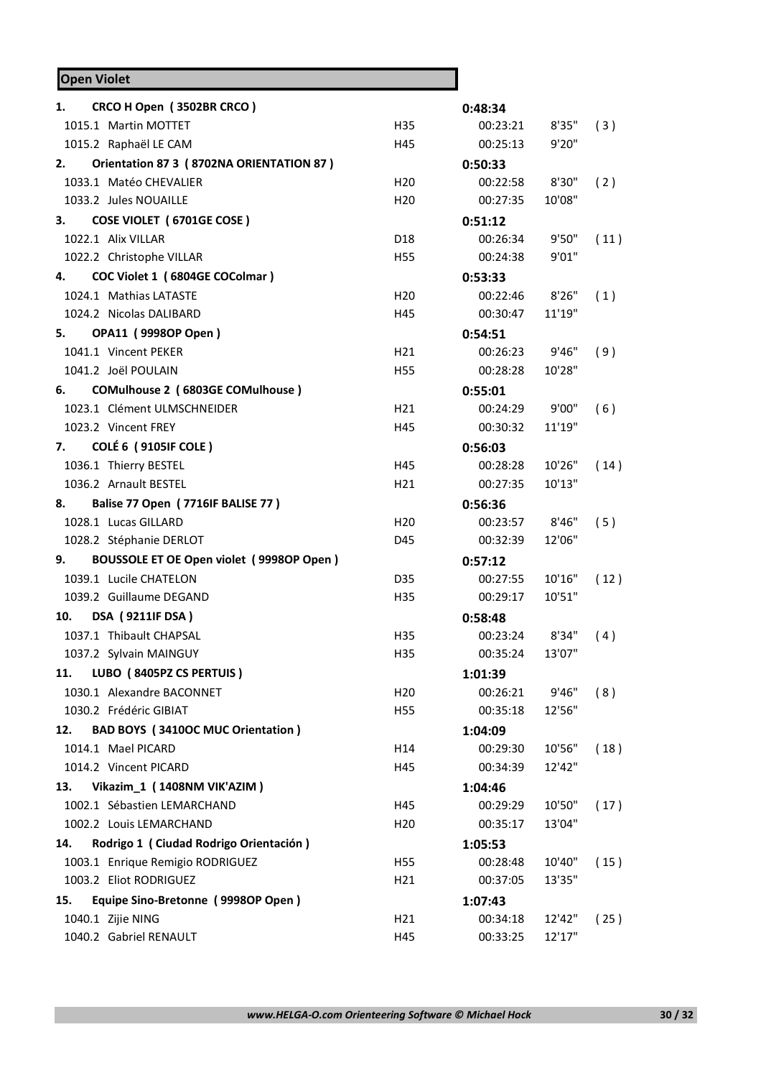# **Open Violet**

| CRCO H Open (3502BR CRCO)<br>1.                 |                 | 0:48:34  |        |      |
|-------------------------------------------------|-----------------|----------|--------|------|
| 1015.1 Martin MOTTET                            | H35             | 00:23:21 | 8'35"  | (3)  |
| 1015.2 Raphaël LE CAM                           | H45             | 00:25:13 | 9'20"  |      |
| Orientation 87 3 (8702NA ORIENTATION 87)<br>2.  |                 | 0:50:33  |        |      |
| 1033.1 Matéo CHEVALIER                          | H <sub>20</sub> | 00:22:58 | 8'30"  | (2)  |
| 1033.2 Jules NOUAILLE                           | H <sub>20</sub> | 00:27:35 | 10'08" |      |
| COSE VIOLET (6701GE COSE)<br>3.                 |                 | 0:51:12  |        |      |
| 1022.1 Alix VILLAR                              | D18             | 00:26:34 | 9'50"  | (11) |
| 1022.2 Christophe VILLAR                        | H55             | 00:24:38 | 9'01"  |      |
| COC Violet 1 (6804GE COColmar)<br>4.            |                 | 0:53:33  |        |      |
| 1024.1 Mathias LATASTE                          | H <sub>20</sub> | 00:22:46 | 8'26"  | (1)  |
| 1024.2 Nicolas DALIBARD                         | H45             | 00:30:47 | 11'19" |      |
| OPA11 (9998OP Open)<br>5.                       |                 | 0:54:51  |        |      |
| 1041.1 Vincent PEKER                            | H21             | 00:26:23 | 9'46"  | (9)  |
| 1041.2 Joël POULAIN                             | H55             | 00:28:28 | 10'28" |      |
| COMulhouse 2 (6803GE COMulhouse)<br>6.          |                 | 0:55:01  |        |      |
| 1023.1 Clément ULMSCHNEIDER                     | H <sub>21</sub> | 00:24:29 | 9'00"  | (6)  |
| 1023.2 Vincent FREY                             | H45             | 00:30:32 | 11'19" |      |
| <b>COLÉ 6 (9105IF COLE)</b><br>7.               |                 | 0:56:03  |        |      |
| 1036.1 Thierry BESTEL                           | H45             | 00:28:28 | 10'26" | (14) |
| 1036.2 Arnault BESTEL                           | H21             | 00:27:35 | 10'13" |      |
| Balise 77 Open (7716IF BALISE 77)<br>8.         |                 | 0:56:36  |        |      |
| 1028.1 Lucas GILLARD                            | H <sub>20</sub> | 00:23:57 | 8'46"  | (5)  |
| 1028.2 Stéphanie DERLOT                         | D45             | 00:32:39 | 12'06" |      |
| BOUSSOLE ET OE Open violet (9998OP Open)<br>9.  |                 | 0:57:12  |        |      |
| 1039.1 Lucile CHATELON                          | D35             | 00:27:55 | 10'16" | (12) |
| 1039.2 Guillaume DEGAND                         | H35             | 00:29:17 | 10'51" |      |
| <b>DSA (9211IF DSA)</b><br>10.                  |                 | 0:58:48  |        |      |
| 1037.1 Thibault CHAPSAL                         | H35             | 00:23:24 | 8'34"  | (4)  |
| 1037.2 Sylvain MAINGUY                          | H35             | 00:35:24 | 13'07" |      |
| LUBO (8405PZ CS PERTUIS)<br>11.                 |                 | 1:01:39  |        |      |
| 1030.1 Alexandre BACONNET                       | H <sub>20</sub> | 00:26:21 | 9'46"  | (8)  |
| 1030.2 Frédéric GIBIAT                          | H55             | 00:35:18 | 12'56" |      |
| <b>BAD BOYS (3410OC MUC Orientation)</b><br>12. |                 | 1:04:09  |        |      |
| 1014.1 Mael PICARD                              | H14             | 00:29:30 | 10'56" | (18) |
| 1014.2 Vincent PICARD                           | H45             | 00:34:39 | 12'42" |      |
| Vikazim_1 (1408NM VIK'AZIM)<br>13.              |                 | 1:04:46  |        |      |
| 1002.1 Sébastien LEMARCHAND                     | H45             | 00:29:29 | 10'50" | (17) |
| 1002.2 Louis LEMARCHAND                         | H <sub>20</sub> | 00:35:17 | 13'04" |      |
| Rodrigo 1 (Ciudad Rodrigo Orientación)<br>14.   |                 | 1:05:53  |        |      |
| 1003.1 Enrique Remigio RODRIGUEZ                | H55             | 00:28:48 | 10'40" | (15) |
| 1003.2 Eliot RODRIGUEZ                          | H21             | 00:37:05 | 13'35" |      |
| Equipe Sino-Bretonne (9998OP Open)<br>15.       |                 | 1:07:43  |        |      |
| 1040.1 Zijie NING                               | H21             | 00:34:18 | 12'42" | (25) |
| 1040.2 Gabriel RENAULT                          | H45             | 00:33:25 | 12'17" |      |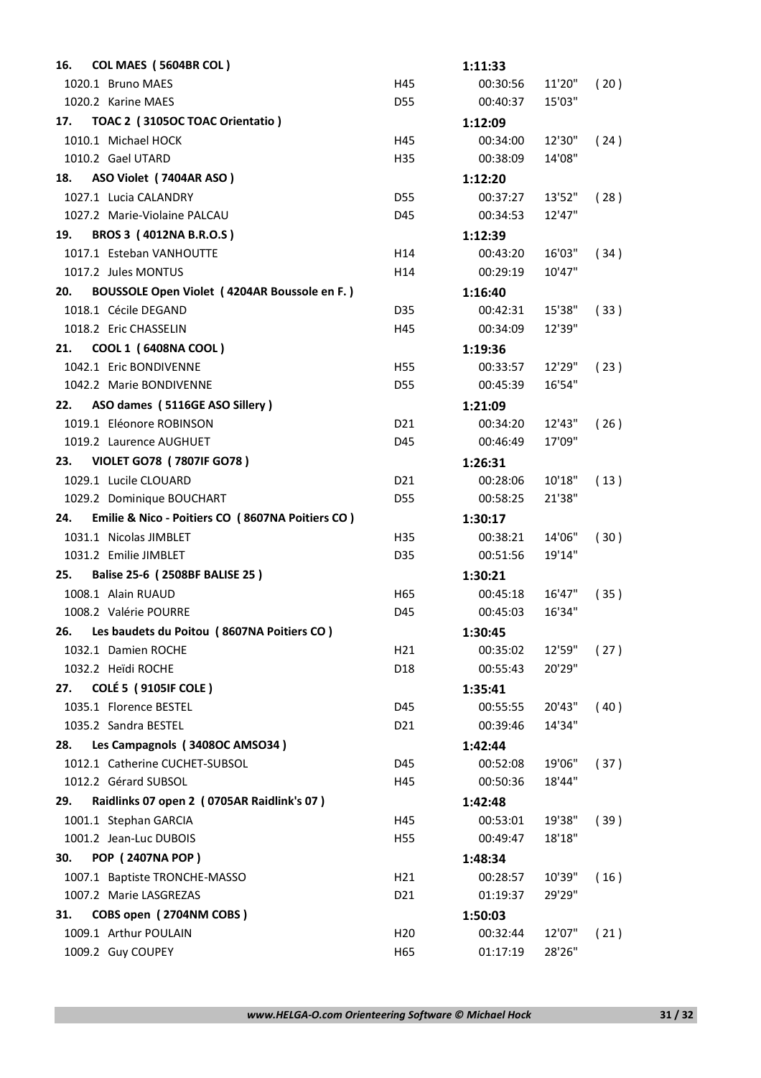| 16. | COL MAES (5604BR COL)                            |                 | 1:11:33  |        |      |
|-----|--------------------------------------------------|-----------------|----------|--------|------|
|     | 1020.1 Bruno MAES                                | H45             | 00:30:56 | 11'20" | (20) |
|     | 1020.2 Karine MAES                               | D55             | 00:40:37 | 15'03" |      |
| 17. | TOAC 2 (3105OC TOAC Orientatio)                  |                 | 1:12:09  |        |      |
|     | 1010.1 Michael HOCK                              | H45             | 00:34:00 | 12'30" | (24) |
|     | 1010.2 Gael UTARD                                | H35             | 00:38:09 | 14'08" |      |
| 18. | ASO Violet (7404AR ASO)                          |                 | 1:12:20  |        |      |
|     | 1027.1 Lucia CALANDRY                            | <b>D55</b>      | 00:37:27 | 13'52" | (28) |
|     | 1027.2 Marie-Violaine PALCAU                     | D45             | 00:34:53 | 12'47" |      |
| 19. | BROS 3 (4012NA B.R.O.S)                          |                 | 1:12:39  |        |      |
|     | 1017.1 Esteban VANHOUTTE                         | H14             | 00:43:20 | 16'03" | (34) |
|     | 1017.2 Jules MONTUS                              | H14             | 00:29:19 | 10'47" |      |
| 20. | BOUSSOLE Open Violet (4204AR Boussole en F.)     |                 | 1:16:40  |        |      |
|     | 1018.1 Cécile DEGAND                             | D35             | 00:42:31 | 15'38" | (33) |
|     | 1018.2 Eric CHASSELIN                            | H45             | 00:34:09 | 12'39" |      |
| 21. | COOL 1 (6408NA COOL)                             |                 | 1:19:36  |        |      |
|     | 1042.1 Eric BONDIVENNE                           | H <sub>55</sub> | 00:33:57 | 12'29" | (23) |
|     | 1042.2 Marie BONDIVENNE                          | D55             | 00:45:39 | 16'54" |      |
| 22. | ASO dames (5116GE ASO Sillery)                   |                 | 1:21:09  |        |      |
|     | 1019.1 Eléonore ROBINSON                         | D <sub>21</sub> | 00:34:20 | 12'43" | (26) |
|     | 1019.2 Laurence AUGHUET                          | D45             | 00:46:49 | 17'09" |      |
| 23. | VIOLET GO78 (7807IF GO78)                        |                 | 1:26:31  |        |      |
|     | 1029.1 Lucile CLOUARD                            | D <sub>21</sub> | 00:28:06 | 10'18" | (13) |
|     | 1029.2 Dominique BOUCHART                        | D55             | 00:58:25 | 21'38" |      |
|     |                                                  |                 |          |        |      |
| 24. | Emilie & Nico - Poitiers CO (8607NA Poitiers CO) |                 | 1:30:17  |        |      |
|     | 1031.1 Nicolas JIMBLET                           | H35             | 00:38:21 | 14'06" | (30) |
|     | 1031.2 Emilie JIMBLET                            | D35             | 00:51:56 | 19'14" |      |
| 25. | Balise 25-6 (2508BF BALISE 25)                   |                 | 1:30:21  |        |      |
|     | 1008.1 Alain RUAUD                               | H65             | 00:45:18 | 16'47" | (35) |
|     | 1008.2 Valérie POURRE                            | D45             | 00:45:03 | 16'34" |      |
|     | 26. Les baudets du Poitou (8607NA Poitiers CO)   |                 | 1:30:45  |        |      |
|     | 1032.1 Damien ROCHE                              | H21             | 00:35:02 | 12'59" | (27) |
|     | 1032.2 Heïdi ROCHE                               | D18             | 00:55:43 | 20'29" |      |
| 27. | COLÉ 5 (9105IF COLE)                             |                 | 1:35:41  |        |      |
|     | 1035.1 Florence BESTEL                           | D45             | 00:55:55 | 20'43" | (40) |
|     | 1035.2 Sandra BESTEL                             | D21             | 00:39:46 | 14'34" |      |
| 28. | Les Campagnols (3408OC AMSO34)                   |                 | 1:42:44  |        |      |
|     | 1012.1 Catherine CUCHET-SUBSOL                   | D45             | 00:52:08 | 19'06" | (37) |
|     | 1012.2 Gérard SUBSOL                             | H45             | 00:50:36 | 18'44" |      |
| 29. | Raidlinks 07 open 2 (0705AR Raidlink's 07)       |                 | 1:42:48  |        |      |
|     | 1001.1 Stephan GARCIA                            | H45             | 00:53:01 | 19'38" | (39) |
|     | 1001.2 Jean-Luc DUBOIS                           | H <sub>55</sub> | 00:49:47 | 18'18" |      |
| 30. | <b>POP (2407NA POP)</b>                          |                 | 1:48:34  |        |      |
|     | 1007.1 Baptiste TRONCHE-MASSO                    | H21             | 00:28:57 | 10'39" | (16) |
|     | 1007.2 Marie LASGREZAS                           | D <sub>21</sub> | 01:19:37 | 29'29" |      |
| 31. | COBS open (2704NM COBS)                          |                 | 1:50:03  |        |      |
|     | 1009.1 Arthur POULAIN                            | H <sub>20</sub> | 00:32:44 | 12'07" | (21) |